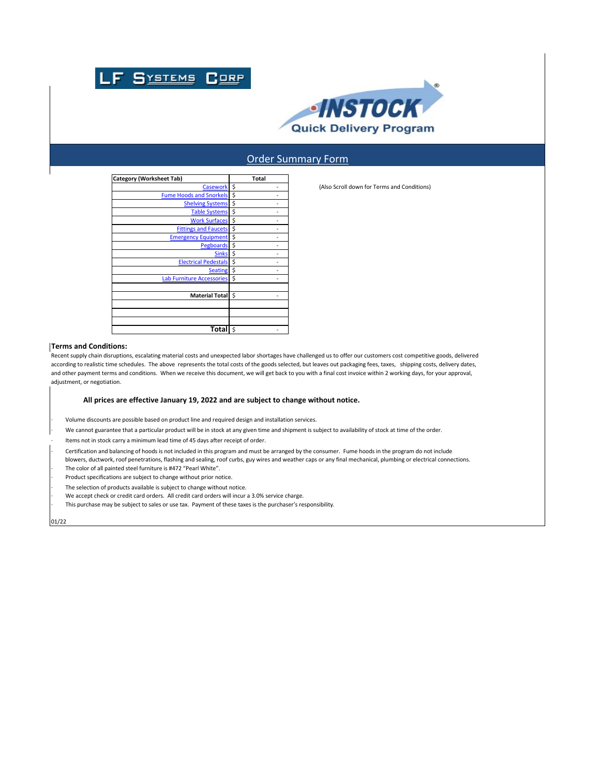



## Order Summary Form

| Category (Worksheet Tab)         | Total |
|----------------------------------|-------|
| <b>Casework</b>                  | \$    |
| <b>Fume Hoods and Snorkels</b>   | \$    |
| <b>Shelving Systems</b>          | \$    |
| <b>Table Systems</b>             | \$    |
| <b>Work Surfaces</b>             | \$    |
| <b>Fittings and Faucets</b>      | \$    |
| <b>Emergency Equipment</b>       | \$    |
| <b>Pegboards</b>                 | \$    |
| <b>Sinks</b>                     | \$    |
| <b>Electrical Pedestals</b>      | \$    |
| <b>Seating</b>                   | \$    |
| <b>Lab Furniture Accessories</b> | \$    |
|                                  |       |
| <b>Material Total</b>            | Ś     |
|                                  |       |
|                                  |       |
|                                  |       |
| Total                            | Ś     |

(Also Scroll down for Terms and Conditions)

## **Terms and Conditions:**

Recent supply chain disruptions, escalating material costs and unexpected labor shortages have challenged us to offer our customers cost competitive goods, delivered according to realistic time schedules. The above represents the total costs of the goods selected, but leaves out packaging fees, taxes, shipping costs, delivery dates, and other payment terms and conditions. When we receive this document, we will get back to you with a final cost invoice within 2 working days, for your approval, adjustment, or negotiation.

## **All prices are effective January 19, 2022 and are subject to change without notice.**

- · Volume discounts are possible based on product line and required design and installation services.
- · We cannot guarantee that a particular product will be in stock at any given time and shipment is subject to availability of stock at time of the order.
- Items not in stock carry a minimum lead time of 45 days after receipt of order.
- · Certification and balancing of hoods is not included in this program and must be arranged by the consumer. Fume hoods in the program do not include blowers, ductwork, roof penetrations, flashing and sealing, roof curbs, guy wires and weather caps or any final mechanical, plumbing or electrical connections.
- The color of all painted steel furniture is #472 "Pearl White".
- Product specifications are subject to change without prior notice.
- The selection of products available is subject to change without notice.
- We accept check or credit card orders. All credit card orders will incur a 3.0% service charge.
- · This purchase may be subject to sales or use tax. Payment of these taxes is the purchaser's responsibility.

01/22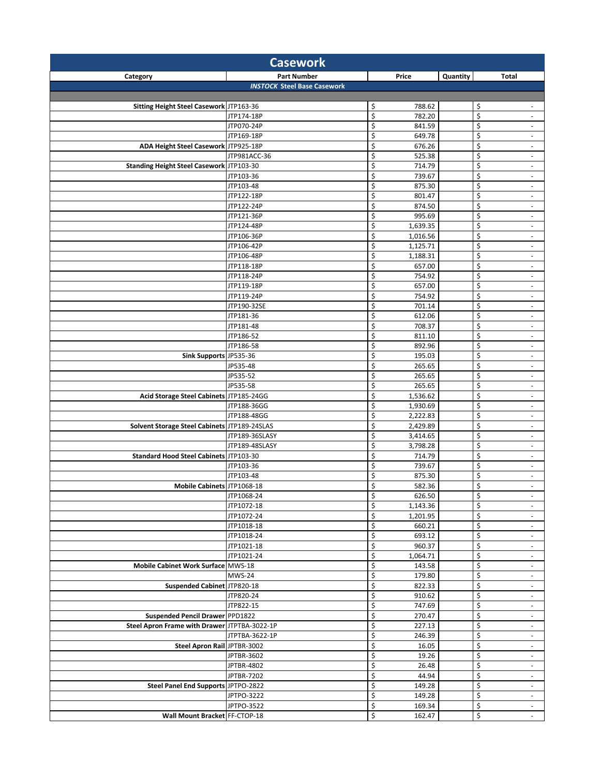| <b>Part Number</b><br>Price<br>Quantity<br>Total<br>Category<br><b>INSTOCK Steel Base Casework</b><br>\$<br>\$<br>Sitting Height Steel Casework JTP163-36<br>788.62<br>$\sim$<br>\$<br>\$<br>782.20<br>JTP174-18P<br>$\sim$<br>\$<br>\$<br>JTP070-24P<br>841.59<br>$\overline{\phantom{a}}$<br>\$<br>\$<br>649.78<br>JTP169-18P<br>$\overline{\phantom{a}}$<br>\$<br>\$<br>ADA Height Steel Casework JTP925-18P<br>676.26<br>$\overline{\phantom{a}}$<br>\$<br>\$<br>JTP981ACC-36<br>525.38<br>$\overline{\phantom{a}}$<br>\$<br>\$<br>Standing Height Steel Casework JTP103-30<br>714.79<br>$\overline{\phantom{a}}$<br>\$<br>\$<br>JTP103-36<br>739.67<br>$\overline{\phantom{a}}$<br>\$<br>\$<br>875.30<br>JTP103-48<br>$\overline{\phantom{a}}$<br>\$<br>\$<br>JTP122-18P<br>801.47<br>$\overline{\phantom{a}}$<br>\$<br>\$<br>JTP122-24P<br>874.50<br>$\overline{\phantom{a}}$<br>\$<br>\$<br>995.69<br>JTP121-36P<br>$\overline{\phantom{a}}$<br>\$<br>\$<br>JTP124-48P<br>1,639.35<br>$\overline{\phantom{a}}$<br>\$<br>\$<br>JTP106-36P<br>1,016.56<br>$\overline{\phantom{a}}$<br>\$<br>\$<br>1,125.71<br>JTP106-42P<br>$\overline{\phantom{a}}$<br>\$<br>\$<br>1,188.31<br>JTP106-48P<br>$\blacksquare$<br>\$<br>\$<br>657.00<br>JTP118-18P<br>$\overline{\phantom{a}}$<br>\$<br>\$<br>754.92<br>JTP118-24P<br>$\overline{\phantom{a}}$<br>\$<br>\$<br>657.00<br>JTP119-18P<br>$\blacksquare$<br>\$<br>\$<br>JTP119-24P<br>754.92<br>$\overline{\phantom{a}}$<br>\$<br>\$<br>JTP190-32SE<br>701.14<br>$\overline{\phantom{a}}$<br>\$<br>\$<br>JTP181-36<br>612.06<br>$\overline{\phantom{a}}$<br>\$<br>\$<br>JTP181-48<br>708.37<br>$\overline{\phantom{a}}$<br>\$<br>\$<br>JTP186-52<br>811.10<br>$\overline{\phantom{a}}$<br>\$<br>\$<br>892.96<br>JTP186-58<br>$\overline{\phantom{a}}$<br>\$<br>\$<br>Sink Supports JP535-36<br>195.03<br>$\blacksquare$<br>\$<br>\$<br>JP535-48<br>265.65<br>$\overline{\phantom{a}}$<br>\$<br>\$<br>JP535-52<br>265.65<br>$\overline{\phantom{a}}$<br>\$<br>\$<br>JP535-58<br>265.65<br>$\overline{\phantom{a}}$<br>\$<br>\$<br>Acid Storage Steel Cabinets JTP185-24GG<br>1,536.62<br>$\overline{\phantom{a}}$<br>\$<br>\$<br>JTP188-36GG<br>1,930.69<br>$\sim$<br>\$<br>\$<br>JTP188-48GG<br>2,222.83<br>$\sim$<br>\$<br>\$<br>Solvent Storage Steel Cabinets JTP189-24SLAS<br>2,429.89<br>$\overline{\phantom{a}}$<br>\$<br>\$<br>JTP189-36SLASY<br>3,414.65<br>$\overline{\phantom{a}}$<br>\$<br>\$<br>JTP189-48SLASY<br>3,798.28<br>$\overline{\phantom{a}}$<br>\$<br>\$<br>Standard Hood Steel Cabinets JTP103-30<br>714.79<br>$\blacksquare$<br>\$<br>\$<br>JTP103-36<br>739.67<br>$\overline{\phantom{a}}$<br>\$<br>\$<br>875.30<br>JTP103-48<br>$\overline{\phantom{a}}$<br>\$<br>\$<br>Mobile Cabinets JTP1068-18<br>582.36<br>$\sim$<br>JTP1068-24<br>\$<br>626.50<br>\$<br>$\sim$<br>\$<br>$\overline{\mathbf{S}}$<br>JTP1072-18<br>1,143.36<br>$\blacksquare$<br>\$<br>\$<br>1,201.95<br>JTP1072-24<br>$\overline{\phantom{a}}$<br>\$<br>\$<br>JTP1018-18<br>660.21<br>$\sim$<br>\$<br>\$<br>JTP1018-24<br>693.12<br>$\overline{\phantom{a}}$<br>\$<br>\$<br>960.37<br>JTP1021-18<br>$\overline{\phantom{a}}$<br>\$<br>\$<br>JTP1021-24<br>1,064.71<br>$\omega$<br>\$<br>\$<br>Mobile Cabinet Work Surface MWS-18<br>143.58<br>$\overline{\phantom{a}}$<br>\$<br>\$<br><b>MWS-24</b><br>179.80<br>$\overline{\phantom{a}}$<br>\$<br>\$<br>Suspended Cabinet JTP820-18<br>822.33<br>$\overline{\phantom{a}}$<br>\$<br>\$<br>JTP820-24<br>910.62<br>$\sim$<br>\$<br>\$<br>JTP822-15<br>747.69<br>$\blacksquare$<br>\$<br>\$<br>Suspended Pencil Drawer PPD1822<br>270.47<br>$\overline{\phantom{a}}$<br>\$<br>\$<br>Steel Apron Frame with Drawer JTPTBA-3022-1P<br>227.13<br>$\sim$<br>\$<br>\$<br>JTPTBA-3622-1P<br>246.39<br>$\overline{\phantom{a}}$<br>\$<br>\$<br>Steel Apron Rail JPTBR-3002<br>16.05<br>$\blacksquare$<br>\$<br>\$<br>JPTBR-3602<br>19.26<br>$\blacksquare$<br>\$<br>\$<br>JPTBR-4802<br>26.48<br>$\overline{\phantom{a}}$<br>\$<br>\$<br>JPTBR-7202<br>44.94<br>$\overline{\phantom{a}}$<br>\$<br>\$<br>Steel Panel End Supports JPTPO-2822<br>149.28<br>$\overline{\phantom{a}}$<br>\$<br>\$<br>JPTPO-3222<br>149.28<br>$\sim$<br>\$<br>\$<br>JPTPO-3522<br>169.34<br>$\sim$<br>\$<br>$\overline{\xi}$<br>Wall Mount Bracket FF-CTOP-18<br>162.47 | <b>Casework</b> |  |  |  |  |  |  |
|----------------------------------------------------------------------------------------------------------------------------------------------------------------------------------------------------------------------------------------------------------------------------------------------------------------------------------------------------------------------------------------------------------------------------------------------------------------------------------------------------------------------------------------------------------------------------------------------------------------------------------------------------------------------------------------------------------------------------------------------------------------------------------------------------------------------------------------------------------------------------------------------------------------------------------------------------------------------------------------------------------------------------------------------------------------------------------------------------------------------------------------------------------------------------------------------------------------------------------------------------------------------------------------------------------------------------------------------------------------------------------------------------------------------------------------------------------------------------------------------------------------------------------------------------------------------------------------------------------------------------------------------------------------------------------------------------------------------------------------------------------------------------------------------------------------------------------------------------------------------------------------------------------------------------------------------------------------------------------------------------------------------------------------------------------------------------------------------------------------------------------------------------------------------------------------------------------------------------------------------------------------------------------------------------------------------------------------------------------------------------------------------------------------------------------------------------------------------------------------------------------------------------------------------------------------------------------------------------------------------------------------------------------------------------------------------------------------------------------------------------------------------------------------------------------------------------------------------------------------------------------------------------------------------------------------------------------------------------------------------------------------------------------------------------------------------------------------------------------------------------------------------------------------------------------------------------------------------------------------------------------------------------------------------------------------------------------------------------------------------------------------------------------------------------------------------------------------------------------------------------------------------------------------------------------------------------------------------------------------------------------------------------------------------------------------------------------------------------------------------------------------------------------------------------------------------------------------------------------------------------------------------------------------------------------------------------------------------------------------------------------------------------------------------------------------------------------------------------------------------------------------------------------------------------------------------------------------------------------------------------------------------------------------------------------------------------------------|-----------------|--|--|--|--|--|--|
|                                                                                                                                                                                                                                                                                                                                                                                                                                                                                                                                                                                                                                                                                                                                                                                                                                                                                                                                                                                                                                                                                                                                                                                                                                                                                                                                                                                                                                                                                                                                                                                                                                                                                                                                                                                                                                                                                                                                                                                                                                                                                                                                                                                                                                                                                                                                                                                                                                                                                                                                                                                                                                                                                                                                                                                                                                                                                                                                                                                                                                                                                                                                                                                                                                                                                                                                                                                                                                                                                                                                                                                                                                                                                                                                                                                                                                                                                                                                                                                                                                                                                                                                                                                                                                                                                                                                        |                 |  |  |  |  |  |  |
|                                                                                                                                                                                                                                                                                                                                                                                                                                                                                                                                                                                                                                                                                                                                                                                                                                                                                                                                                                                                                                                                                                                                                                                                                                                                                                                                                                                                                                                                                                                                                                                                                                                                                                                                                                                                                                                                                                                                                                                                                                                                                                                                                                                                                                                                                                                                                                                                                                                                                                                                                                                                                                                                                                                                                                                                                                                                                                                                                                                                                                                                                                                                                                                                                                                                                                                                                                                                                                                                                                                                                                                                                                                                                                                                                                                                                                                                                                                                                                                                                                                                                                                                                                                                                                                                                                                                        |                 |  |  |  |  |  |  |
|                                                                                                                                                                                                                                                                                                                                                                                                                                                                                                                                                                                                                                                                                                                                                                                                                                                                                                                                                                                                                                                                                                                                                                                                                                                                                                                                                                                                                                                                                                                                                                                                                                                                                                                                                                                                                                                                                                                                                                                                                                                                                                                                                                                                                                                                                                                                                                                                                                                                                                                                                                                                                                                                                                                                                                                                                                                                                                                                                                                                                                                                                                                                                                                                                                                                                                                                                                                                                                                                                                                                                                                                                                                                                                                                                                                                                                                                                                                                                                                                                                                                                                                                                                                                                                                                                                                                        |                 |  |  |  |  |  |  |
|                                                                                                                                                                                                                                                                                                                                                                                                                                                                                                                                                                                                                                                                                                                                                                                                                                                                                                                                                                                                                                                                                                                                                                                                                                                                                                                                                                                                                                                                                                                                                                                                                                                                                                                                                                                                                                                                                                                                                                                                                                                                                                                                                                                                                                                                                                                                                                                                                                                                                                                                                                                                                                                                                                                                                                                                                                                                                                                                                                                                                                                                                                                                                                                                                                                                                                                                                                                                                                                                                                                                                                                                                                                                                                                                                                                                                                                                                                                                                                                                                                                                                                                                                                                                                                                                                                                                        |                 |  |  |  |  |  |  |
|                                                                                                                                                                                                                                                                                                                                                                                                                                                                                                                                                                                                                                                                                                                                                                                                                                                                                                                                                                                                                                                                                                                                                                                                                                                                                                                                                                                                                                                                                                                                                                                                                                                                                                                                                                                                                                                                                                                                                                                                                                                                                                                                                                                                                                                                                                                                                                                                                                                                                                                                                                                                                                                                                                                                                                                                                                                                                                                                                                                                                                                                                                                                                                                                                                                                                                                                                                                                                                                                                                                                                                                                                                                                                                                                                                                                                                                                                                                                                                                                                                                                                                                                                                                                                                                                                                                                        |                 |  |  |  |  |  |  |
|                                                                                                                                                                                                                                                                                                                                                                                                                                                                                                                                                                                                                                                                                                                                                                                                                                                                                                                                                                                                                                                                                                                                                                                                                                                                                                                                                                                                                                                                                                                                                                                                                                                                                                                                                                                                                                                                                                                                                                                                                                                                                                                                                                                                                                                                                                                                                                                                                                                                                                                                                                                                                                                                                                                                                                                                                                                                                                                                                                                                                                                                                                                                                                                                                                                                                                                                                                                                                                                                                                                                                                                                                                                                                                                                                                                                                                                                                                                                                                                                                                                                                                                                                                                                                                                                                                                                        |                 |  |  |  |  |  |  |
|                                                                                                                                                                                                                                                                                                                                                                                                                                                                                                                                                                                                                                                                                                                                                                                                                                                                                                                                                                                                                                                                                                                                                                                                                                                                                                                                                                                                                                                                                                                                                                                                                                                                                                                                                                                                                                                                                                                                                                                                                                                                                                                                                                                                                                                                                                                                                                                                                                                                                                                                                                                                                                                                                                                                                                                                                                                                                                                                                                                                                                                                                                                                                                                                                                                                                                                                                                                                                                                                                                                                                                                                                                                                                                                                                                                                                                                                                                                                                                                                                                                                                                                                                                                                                                                                                                                                        |                 |  |  |  |  |  |  |
|                                                                                                                                                                                                                                                                                                                                                                                                                                                                                                                                                                                                                                                                                                                                                                                                                                                                                                                                                                                                                                                                                                                                                                                                                                                                                                                                                                                                                                                                                                                                                                                                                                                                                                                                                                                                                                                                                                                                                                                                                                                                                                                                                                                                                                                                                                                                                                                                                                                                                                                                                                                                                                                                                                                                                                                                                                                                                                                                                                                                                                                                                                                                                                                                                                                                                                                                                                                                                                                                                                                                                                                                                                                                                                                                                                                                                                                                                                                                                                                                                                                                                                                                                                                                                                                                                                                                        |                 |  |  |  |  |  |  |
|                                                                                                                                                                                                                                                                                                                                                                                                                                                                                                                                                                                                                                                                                                                                                                                                                                                                                                                                                                                                                                                                                                                                                                                                                                                                                                                                                                                                                                                                                                                                                                                                                                                                                                                                                                                                                                                                                                                                                                                                                                                                                                                                                                                                                                                                                                                                                                                                                                                                                                                                                                                                                                                                                                                                                                                                                                                                                                                                                                                                                                                                                                                                                                                                                                                                                                                                                                                                                                                                                                                                                                                                                                                                                                                                                                                                                                                                                                                                                                                                                                                                                                                                                                                                                                                                                                                                        |                 |  |  |  |  |  |  |
|                                                                                                                                                                                                                                                                                                                                                                                                                                                                                                                                                                                                                                                                                                                                                                                                                                                                                                                                                                                                                                                                                                                                                                                                                                                                                                                                                                                                                                                                                                                                                                                                                                                                                                                                                                                                                                                                                                                                                                                                                                                                                                                                                                                                                                                                                                                                                                                                                                                                                                                                                                                                                                                                                                                                                                                                                                                                                                                                                                                                                                                                                                                                                                                                                                                                                                                                                                                                                                                                                                                                                                                                                                                                                                                                                                                                                                                                                                                                                                                                                                                                                                                                                                                                                                                                                                                                        |                 |  |  |  |  |  |  |
|                                                                                                                                                                                                                                                                                                                                                                                                                                                                                                                                                                                                                                                                                                                                                                                                                                                                                                                                                                                                                                                                                                                                                                                                                                                                                                                                                                                                                                                                                                                                                                                                                                                                                                                                                                                                                                                                                                                                                                                                                                                                                                                                                                                                                                                                                                                                                                                                                                                                                                                                                                                                                                                                                                                                                                                                                                                                                                                                                                                                                                                                                                                                                                                                                                                                                                                                                                                                                                                                                                                                                                                                                                                                                                                                                                                                                                                                                                                                                                                                                                                                                                                                                                                                                                                                                                                                        |                 |  |  |  |  |  |  |
|                                                                                                                                                                                                                                                                                                                                                                                                                                                                                                                                                                                                                                                                                                                                                                                                                                                                                                                                                                                                                                                                                                                                                                                                                                                                                                                                                                                                                                                                                                                                                                                                                                                                                                                                                                                                                                                                                                                                                                                                                                                                                                                                                                                                                                                                                                                                                                                                                                                                                                                                                                                                                                                                                                                                                                                                                                                                                                                                                                                                                                                                                                                                                                                                                                                                                                                                                                                                                                                                                                                                                                                                                                                                                                                                                                                                                                                                                                                                                                                                                                                                                                                                                                                                                                                                                                                                        |                 |  |  |  |  |  |  |
|                                                                                                                                                                                                                                                                                                                                                                                                                                                                                                                                                                                                                                                                                                                                                                                                                                                                                                                                                                                                                                                                                                                                                                                                                                                                                                                                                                                                                                                                                                                                                                                                                                                                                                                                                                                                                                                                                                                                                                                                                                                                                                                                                                                                                                                                                                                                                                                                                                                                                                                                                                                                                                                                                                                                                                                                                                                                                                                                                                                                                                                                                                                                                                                                                                                                                                                                                                                                                                                                                                                                                                                                                                                                                                                                                                                                                                                                                                                                                                                                                                                                                                                                                                                                                                                                                                                                        |                 |  |  |  |  |  |  |
|                                                                                                                                                                                                                                                                                                                                                                                                                                                                                                                                                                                                                                                                                                                                                                                                                                                                                                                                                                                                                                                                                                                                                                                                                                                                                                                                                                                                                                                                                                                                                                                                                                                                                                                                                                                                                                                                                                                                                                                                                                                                                                                                                                                                                                                                                                                                                                                                                                                                                                                                                                                                                                                                                                                                                                                                                                                                                                                                                                                                                                                                                                                                                                                                                                                                                                                                                                                                                                                                                                                                                                                                                                                                                                                                                                                                                                                                                                                                                                                                                                                                                                                                                                                                                                                                                                                                        |                 |  |  |  |  |  |  |
|                                                                                                                                                                                                                                                                                                                                                                                                                                                                                                                                                                                                                                                                                                                                                                                                                                                                                                                                                                                                                                                                                                                                                                                                                                                                                                                                                                                                                                                                                                                                                                                                                                                                                                                                                                                                                                                                                                                                                                                                                                                                                                                                                                                                                                                                                                                                                                                                                                                                                                                                                                                                                                                                                                                                                                                                                                                                                                                                                                                                                                                                                                                                                                                                                                                                                                                                                                                                                                                                                                                                                                                                                                                                                                                                                                                                                                                                                                                                                                                                                                                                                                                                                                                                                                                                                                                                        |                 |  |  |  |  |  |  |
|                                                                                                                                                                                                                                                                                                                                                                                                                                                                                                                                                                                                                                                                                                                                                                                                                                                                                                                                                                                                                                                                                                                                                                                                                                                                                                                                                                                                                                                                                                                                                                                                                                                                                                                                                                                                                                                                                                                                                                                                                                                                                                                                                                                                                                                                                                                                                                                                                                                                                                                                                                                                                                                                                                                                                                                                                                                                                                                                                                                                                                                                                                                                                                                                                                                                                                                                                                                                                                                                                                                                                                                                                                                                                                                                                                                                                                                                                                                                                                                                                                                                                                                                                                                                                                                                                                                                        |                 |  |  |  |  |  |  |
|                                                                                                                                                                                                                                                                                                                                                                                                                                                                                                                                                                                                                                                                                                                                                                                                                                                                                                                                                                                                                                                                                                                                                                                                                                                                                                                                                                                                                                                                                                                                                                                                                                                                                                                                                                                                                                                                                                                                                                                                                                                                                                                                                                                                                                                                                                                                                                                                                                                                                                                                                                                                                                                                                                                                                                                                                                                                                                                                                                                                                                                                                                                                                                                                                                                                                                                                                                                                                                                                                                                                                                                                                                                                                                                                                                                                                                                                                                                                                                                                                                                                                                                                                                                                                                                                                                                                        |                 |  |  |  |  |  |  |
|                                                                                                                                                                                                                                                                                                                                                                                                                                                                                                                                                                                                                                                                                                                                                                                                                                                                                                                                                                                                                                                                                                                                                                                                                                                                                                                                                                                                                                                                                                                                                                                                                                                                                                                                                                                                                                                                                                                                                                                                                                                                                                                                                                                                                                                                                                                                                                                                                                                                                                                                                                                                                                                                                                                                                                                                                                                                                                                                                                                                                                                                                                                                                                                                                                                                                                                                                                                                                                                                                                                                                                                                                                                                                                                                                                                                                                                                                                                                                                                                                                                                                                                                                                                                                                                                                                                                        |                 |  |  |  |  |  |  |
|                                                                                                                                                                                                                                                                                                                                                                                                                                                                                                                                                                                                                                                                                                                                                                                                                                                                                                                                                                                                                                                                                                                                                                                                                                                                                                                                                                                                                                                                                                                                                                                                                                                                                                                                                                                                                                                                                                                                                                                                                                                                                                                                                                                                                                                                                                                                                                                                                                                                                                                                                                                                                                                                                                                                                                                                                                                                                                                                                                                                                                                                                                                                                                                                                                                                                                                                                                                                                                                                                                                                                                                                                                                                                                                                                                                                                                                                                                                                                                                                                                                                                                                                                                                                                                                                                                                                        |                 |  |  |  |  |  |  |
|                                                                                                                                                                                                                                                                                                                                                                                                                                                                                                                                                                                                                                                                                                                                                                                                                                                                                                                                                                                                                                                                                                                                                                                                                                                                                                                                                                                                                                                                                                                                                                                                                                                                                                                                                                                                                                                                                                                                                                                                                                                                                                                                                                                                                                                                                                                                                                                                                                                                                                                                                                                                                                                                                                                                                                                                                                                                                                                                                                                                                                                                                                                                                                                                                                                                                                                                                                                                                                                                                                                                                                                                                                                                                                                                                                                                                                                                                                                                                                                                                                                                                                                                                                                                                                                                                                                                        |                 |  |  |  |  |  |  |
|                                                                                                                                                                                                                                                                                                                                                                                                                                                                                                                                                                                                                                                                                                                                                                                                                                                                                                                                                                                                                                                                                                                                                                                                                                                                                                                                                                                                                                                                                                                                                                                                                                                                                                                                                                                                                                                                                                                                                                                                                                                                                                                                                                                                                                                                                                                                                                                                                                                                                                                                                                                                                                                                                                                                                                                                                                                                                                                                                                                                                                                                                                                                                                                                                                                                                                                                                                                                                                                                                                                                                                                                                                                                                                                                                                                                                                                                                                                                                                                                                                                                                                                                                                                                                                                                                                                                        |                 |  |  |  |  |  |  |
|                                                                                                                                                                                                                                                                                                                                                                                                                                                                                                                                                                                                                                                                                                                                                                                                                                                                                                                                                                                                                                                                                                                                                                                                                                                                                                                                                                                                                                                                                                                                                                                                                                                                                                                                                                                                                                                                                                                                                                                                                                                                                                                                                                                                                                                                                                                                                                                                                                                                                                                                                                                                                                                                                                                                                                                                                                                                                                                                                                                                                                                                                                                                                                                                                                                                                                                                                                                                                                                                                                                                                                                                                                                                                                                                                                                                                                                                                                                                                                                                                                                                                                                                                                                                                                                                                                                                        |                 |  |  |  |  |  |  |
|                                                                                                                                                                                                                                                                                                                                                                                                                                                                                                                                                                                                                                                                                                                                                                                                                                                                                                                                                                                                                                                                                                                                                                                                                                                                                                                                                                                                                                                                                                                                                                                                                                                                                                                                                                                                                                                                                                                                                                                                                                                                                                                                                                                                                                                                                                                                                                                                                                                                                                                                                                                                                                                                                                                                                                                                                                                                                                                                                                                                                                                                                                                                                                                                                                                                                                                                                                                                                                                                                                                                                                                                                                                                                                                                                                                                                                                                                                                                                                                                                                                                                                                                                                                                                                                                                                                                        |                 |  |  |  |  |  |  |
|                                                                                                                                                                                                                                                                                                                                                                                                                                                                                                                                                                                                                                                                                                                                                                                                                                                                                                                                                                                                                                                                                                                                                                                                                                                                                                                                                                                                                                                                                                                                                                                                                                                                                                                                                                                                                                                                                                                                                                                                                                                                                                                                                                                                                                                                                                                                                                                                                                                                                                                                                                                                                                                                                                                                                                                                                                                                                                                                                                                                                                                                                                                                                                                                                                                                                                                                                                                                                                                                                                                                                                                                                                                                                                                                                                                                                                                                                                                                                                                                                                                                                                                                                                                                                                                                                                                                        |                 |  |  |  |  |  |  |
|                                                                                                                                                                                                                                                                                                                                                                                                                                                                                                                                                                                                                                                                                                                                                                                                                                                                                                                                                                                                                                                                                                                                                                                                                                                                                                                                                                                                                                                                                                                                                                                                                                                                                                                                                                                                                                                                                                                                                                                                                                                                                                                                                                                                                                                                                                                                                                                                                                                                                                                                                                                                                                                                                                                                                                                                                                                                                                                                                                                                                                                                                                                                                                                                                                                                                                                                                                                                                                                                                                                                                                                                                                                                                                                                                                                                                                                                                                                                                                                                                                                                                                                                                                                                                                                                                                                                        |                 |  |  |  |  |  |  |
|                                                                                                                                                                                                                                                                                                                                                                                                                                                                                                                                                                                                                                                                                                                                                                                                                                                                                                                                                                                                                                                                                                                                                                                                                                                                                                                                                                                                                                                                                                                                                                                                                                                                                                                                                                                                                                                                                                                                                                                                                                                                                                                                                                                                                                                                                                                                                                                                                                                                                                                                                                                                                                                                                                                                                                                                                                                                                                                                                                                                                                                                                                                                                                                                                                                                                                                                                                                                                                                                                                                                                                                                                                                                                                                                                                                                                                                                                                                                                                                                                                                                                                                                                                                                                                                                                                                                        |                 |  |  |  |  |  |  |
|                                                                                                                                                                                                                                                                                                                                                                                                                                                                                                                                                                                                                                                                                                                                                                                                                                                                                                                                                                                                                                                                                                                                                                                                                                                                                                                                                                                                                                                                                                                                                                                                                                                                                                                                                                                                                                                                                                                                                                                                                                                                                                                                                                                                                                                                                                                                                                                                                                                                                                                                                                                                                                                                                                                                                                                                                                                                                                                                                                                                                                                                                                                                                                                                                                                                                                                                                                                                                                                                                                                                                                                                                                                                                                                                                                                                                                                                                                                                                                                                                                                                                                                                                                                                                                                                                                                                        |                 |  |  |  |  |  |  |
|                                                                                                                                                                                                                                                                                                                                                                                                                                                                                                                                                                                                                                                                                                                                                                                                                                                                                                                                                                                                                                                                                                                                                                                                                                                                                                                                                                                                                                                                                                                                                                                                                                                                                                                                                                                                                                                                                                                                                                                                                                                                                                                                                                                                                                                                                                                                                                                                                                                                                                                                                                                                                                                                                                                                                                                                                                                                                                                                                                                                                                                                                                                                                                                                                                                                                                                                                                                                                                                                                                                                                                                                                                                                                                                                                                                                                                                                                                                                                                                                                                                                                                                                                                                                                                                                                                                                        |                 |  |  |  |  |  |  |
|                                                                                                                                                                                                                                                                                                                                                                                                                                                                                                                                                                                                                                                                                                                                                                                                                                                                                                                                                                                                                                                                                                                                                                                                                                                                                                                                                                                                                                                                                                                                                                                                                                                                                                                                                                                                                                                                                                                                                                                                                                                                                                                                                                                                                                                                                                                                                                                                                                                                                                                                                                                                                                                                                                                                                                                                                                                                                                                                                                                                                                                                                                                                                                                                                                                                                                                                                                                                                                                                                                                                                                                                                                                                                                                                                                                                                                                                                                                                                                                                                                                                                                                                                                                                                                                                                                                                        |                 |  |  |  |  |  |  |
|                                                                                                                                                                                                                                                                                                                                                                                                                                                                                                                                                                                                                                                                                                                                                                                                                                                                                                                                                                                                                                                                                                                                                                                                                                                                                                                                                                                                                                                                                                                                                                                                                                                                                                                                                                                                                                                                                                                                                                                                                                                                                                                                                                                                                                                                                                                                                                                                                                                                                                                                                                                                                                                                                                                                                                                                                                                                                                                                                                                                                                                                                                                                                                                                                                                                                                                                                                                                                                                                                                                                                                                                                                                                                                                                                                                                                                                                                                                                                                                                                                                                                                                                                                                                                                                                                                                                        |                 |  |  |  |  |  |  |
|                                                                                                                                                                                                                                                                                                                                                                                                                                                                                                                                                                                                                                                                                                                                                                                                                                                                                                                                                                                                                                                                                                                                                                                                                                                                                                                                                                                                                                                                                                                                                                                                                                                                                                                                                                                                                                                                                                                                                                                                                                                                                                                                                                                                                                                                                                                                                                                                                                                                                                                                                                                                                                                                                                                                                                                                                                                                                                                                                                                                                                                                                                                                                                                                                                                                                                                                                                                                                                                                                                                                                                                                                                                                                                                                                                                                                                                                                                                                                                                                                                                                                                                                                                                                                                                                                                                                        |                 |  |  |  |  |  |  |
|                                                                                                                                                                                                                                                                                                                                                                                                                                                                                                                                                                                                                                                                                                                                                                                                                                                                                                                                                                                                                                                                                                                                                                                                                                                                                                                                                                                                                                                                                                                                                                                                                                                                                                                                                                                                                                                                                                                                                                                                                                                                                                                                                                                                                                                                                                                                                                                                                                                                                                                                                                                                                                                                                                                                                                                                                                                                                                                                                                                                                                                                                                                                                                                                                                                                                                                                                                                                                                                                                                                                                                                                                                                                                                                                                                                                                                                                                                                                                                                                                                                                                                                                                                                                                                                                                                                                        |                 |  |  |  |  |  |  |
|                                                                                                                                                                                                                                                                                                                                                                                                                                                                                                                                                                                                                                                                                                                                                                                                                                                                                                                                                                                                                                                                                                                                                                                                                                                                                                                                                                                                                                                                                                                                                                                                                                                                                                                                                                                                                                                                                                                                                                                                                                                                                                                                                                                                                                                                                                                                                                                                                                                                                                                                                                                                                                                                                                                                                                                                                                                                                                                                                                                                                                                                                                                                                                                                                                                                                                                                                                                                                                                                                                                                                                                                                                                                                                                                                                                                                                                                                                                                                                                                                                                                                                                                                                                                                                                                                                                                        |                 |  |  |  |  |  |  |
|                                                                                                                                                                                                                                                                                                                                                                                                                                                                                                                                                                                                                                                                                                                                                                                                                                                                                                                                                                                                                                                                                                                                                                                                                                                                                                                                                                                                                                                                                                                                                                                                                                                                                                                                                                                                                                                                                                                                                                                                                                                                                                                                                                                                                                                                                                                                                                                                                                                                                                                                                                                                                                                                                                                                                                                                                                                                                                                                                                                                                                                                                                                                                                                                                                                                                                                                                                                                                                                                                                                                                                                                                                                                                                                                                                                                                                                                                                                                                                                                                                                                                                                                                                                                                                                                                                                                        |                 |  |  |  |  |  |  |
|                                                                                                                                                                                                                                                                                                                                                                                                                                                                                                                                                                                                                                                                                                                                                                                                                                                                                                                                                                                                                                                                                                                                                                                                                                                                                                                                                                                                                                                                                                                                                                                                                                                                                                                                                                                                                                                                                                                                                                                                                                                                                                                                                                                                                                                                                                                                                                                                                                                                                                                                                                                                                                                                                                                                                                                                                                                                                                                                                                                                                                                                                                                                                                                                                                                                                                                                                                                                                                                                                                                                                                                                                                                                                                                                                                                                                                                                                                                                                                                                                                                                                                                                                                                                                                                                                                                                        |                 |  |  |  |  |  |  |
|                                                                                                                                                                                                                                                                                                                                                                                                                                                                                                                                                                                                                                                                                                                                                                                                                                                                                                                                                                                                                                                                                                                                                                                                                                                                                                                                                                                                                                                                                                                                                                                                                                                                                                                                                                                                                                                                                                                                                                                                                                                                                                                                                                                                                                                                                                                                                                                                                                                                                                                                                                                                                                                                                                                                                                                                                                                                                                                                                                                                                                                                                                                                                                                                                                                                                                                                                                                                                                                                                                                                                                                                                                                                                                                                                                                                                                                                                                                                                                                                                                                                                                                                                                                                                                                                                                                                        |                 |  |  |  |  |  |  |
|                                                                                                                                                                                                                                                                                                                                                                                                                                                                                                                                                                                                                                                                                                                                                                                                                                                                                                                                                                                                                                                                                                                                                                                                                                                                                                                                                                                                                                                                                                                                                                                                                                                                                                                                                                                                                                                                                                                                                                                                                                                                                                                                                                                                                                                                                                                                                                                                                                                                                                                                                                                                                                                                                                                                                                                                                                                                                                                                                                                                                                                                                                                                                                                                                                                                                                                                                                                                                                                                                                                                                                                                                                                                                                                                                                                                                                                                                                                                                                                                                                                                                                                                                                                                                                                                                                                                        |                 |  |  |  |  |  |  |
|                                                                                                                                                                                                                                                                                                                                                                                                                                                                                                                                                                                                                                                                                                                                                                                                                                                                                                                                                                                                                                                                                                                                                                                                                                                                                                                                                                                                                                                                                                                                                                                                                                                                                                                                                                                                                                                                                                                                                                                                                                                                                                                                                                                                                                                                                                                                                                                                                                                                                                                                                                                                                                                                                                                                                                                                                                                                                                                                                                                                                                                                                                                                                                                                                                                                                                                                                                                                                                                                                                                                                                                                                                                                                                                                                                                                                                                                                                                                                                                                                                                                                                                                                                                                                                                                                                                                        |                 |  |  |  |  |  |  |
|                                                                                                                                                                                                                                                                                                                                                                                                                                                                                                                                                                                                                                                                                                                                                                                                                                                                                                                                                                                                                                                                                                                                                                                                                                                                                                                                                                                                                                                                                                                                                                                                                                                                                                                                                                                                                                                                                                                                                                                                                                                                                                                                                                                                                                                                                                                                                                                                                                                                                                                                                                                                                                                                                                                                                                                                                                                                                                                                                                                                                                                                                                                                                                                                                                                                                                                                                                                                                                                                                                                                                                                                                                                                                                                                                                                                                                                                                                                                                                                                                                                                                                                                                                                                                                                                                                                                        |                 |  |  |  |  |  |  |
|                                                                                                                                                                                                                                                                                                                                                                                                                                                                                                                                                                                                                                                                                                                                                                                                                                                                                                                                                                                                                                                                                                                                                                                                                                                                                                                                                                                                                                                                                                                                                                                                                                                                                                                                                                                                                                                                                                                                                                                                                                                                                                                                                                                                                                                                                                                                                                                                                                                                                                                                                                                                                                                                                                                                                                                                                                                                                                                                                                                                                                                                                                                                                                                                                                                                                                                                                                                                                                                                                                                                                                                                                                                                                                                                                                                                                                                                                                                                                                                                                                                                                                                                                                                                                                                                                                                                        |                 |  |  |  |  |  |  |
|                                                                                                                                                                                                                                                                                                                                                                                                                                                                                                                                                                                                                                                                                                                                                                                                                                                                                                                                                                                                                                                                                                                                                                                                                                                                                                                                                                                                                                                                                                                                                                                                                                                                                                                                                                                                                                                                                                                                                                                                                                                                                                                                                                                                                                                                                                                                                                                                                                                                                                                                                                                                                                                                                                                                                                                                                                                                                                                                                                                                                                                                                                                                                                                                                                                                                                                                                                                                                                                                                                                                                                                                                                                                                                                                                                                                                                                                                                                                                                                                                                                                                                                                                                                                                                                                                                                                        |                 |  |  |  |  |  |  |
|                                                                                                                                                                                                                                                                                                                                                                                                                                                                                                                                                                                                                                                                                                                                                                                                                                                                                                                                                                                                                                                                                                                                                                                                                                                                                                                                                                                                                                                                                                                                                                                                                                                                                                                                                                                                                                                                                                                                                                                                                                                                                                                                                                                                                                                                                                                                                                                                                                                                                                                                                                                                                                                                                                                                                                                                                                                                                                                                                                                                                                                                                                                                                                                                                                                                                                                                                                                                                                                                                                                                                                                                                                                                                                                                                                                                                                                                                                                                                                                                                                                                                                                                                                                                                                                                                                                                        |                 |  |  |  |  |  |  |
|                                                                                                                                                                                                                                                                                                                                                                                                                                                                                                                                                                                                                                                                                                                                                                                                                                                                                                                                                                                                                                                                                                                                                                                                                                                                                                                                                                                                                                                                                                                                                                                                                                                                                                                                                                                                                                                                                                                                                                                                                                                                                                                                                                                                                                                                                                                                                                                                                                                                                                                                                                                                                                                                                                                                                                                                                                                                                                                                                                                                                                                                                                                                                                                                                                                                                                                                                                                                                                                                                                                                                                                                                                                                                                                                                                                                                                                                                                                                                                                                                                                                                                                                                                                                                                                                                                                                        |                 |  |  |  |  |  |  |
|                                                                                                                                                                                                                                                                                                                                                                                                                                                                                                                                                                                                                                                                                                                                                                                                                                                                                                                                                                                                                                                                                                                                                                                                                                                                                                                                                                                                                                                                                                                                                                                                                                                                                                                                                                                                                                                                                                                                                                                                                                                                                                                                                                                                                                                                                                                                                                                                                                                                                                                                                                                                                                                                                                                                                                                                                                                                                                                                                                                                                                                                                                                                                                                                                                                                                                                                                                                                                                                                                                                                                                                                                                                                                                                                                                                                                                                                                                                                                                                                                                                                                                                                                                                                                                                                                                                                        |                 |  |  |  |  |  |  |
|                                                                                                                                                                                                                                                                                                                                                                                                                                                                                                                                                                                                                                                                                                                                                                                                                                                                                                                                                                                                                                                                                                                                                                                                                                                                                                                                                                                                                                                                                                                                                                                                                                                                                                                                                                                                                                                                                                                                                                                                                                                                                                                                                                                                                                                                                                                                                                                                                                                                                                                                                                                                                                                                                                                                                                                                                                                                                                                                                                                                                                                                                                                                                                                                                                                                                                                                                                                                                                                                                                                                                                                                                                                                                                                                                                                                                                                                                                                                                                                                                                                                                                                                                                                                                                                                                                                                        |                 |  |  |  |  |  |  |
|                                                                                                                                                                                                                                                                                                                                                                                                                                                                                                                                                                                                                                                                                                                                                                                                                                                                                                                                                                                                                                                                                                                                                                                                                                                                                                                                                                                                                                                                                                                                                                                                                                                                                                                                                                                                                                                                                                                                                                                                                                                                                                                                                                                                                                                                                                                                                                                                                                                                                                                                                                                                                                                                                                                                                                                                                                                                                                                                                                                                                                                                                                                                                                                                                                                                                                                                                                                                                                                                                                                                                                                                                                                                                                                                                                                                                                                                                                                                                                                                                                                                                                                                                                                                                                                                                                                                        |                 |  |  |  |  |  |  |
|                                                                                                                                                                                                                                                                                                                                                                                                                                                                                                                                                                                                                                                                                                                                                                                                                                                                                                                                                                                                                                                                                                                                                                                                                                                                                                                                                                                                                                                                                                                                                                                                                                                                                                                                                                                                                                                                                                                                                                                                                                                                                                                                                                                                                                                                                                                                                                                                                                                                                                                                                                                                                                                                                                                                                                                                                                                                                                                                                                                                                                                                                                                                                                                                                                                                                                                                                                                                                                                                                                                                                                                                                                                                                                                                                                                                                                                                                                                                                                                                                                                                                                                                                                                                                                                                                                                                        |                 |  |  |  |  |  |  |
|                                                                                                                                                                                                                                                                                                                                                                                                                                                                                                                                                                                                                                                                                                                                                                                                                                                                                                                                                                                                                                                                                                                                                                                                                                                                                                                                                                                                                                                                                                                                                                                                                                                                                                                                                                                                                                                                                                                                                                                                                                                                                                                                                                                                                                                                                                                                                                                                                                                                                                                                                                                                                                                                                                                                                                                                                                                                                                                                                                                                                                                                                                                                                                                                                                                                                                                                                                                                                                                                                                                                                                                                                                                                                                                                                                                                                                                                                                                                                                                                                                                                                                                                                                                                                                                                                                                                        |                 |  |  |  |  |  |  |
|                                                                                                                                                                                                                                                                                                                                                                                                                                                                                                                                                                                                                                                                                                                                                                                                                                                                                                                                                                                                                                                                                                                                                                                                                                                                                                                                                                                                                                                                                                                                                                                                                                                                                                                                                                                                                                                                                                                                                                                                                                                                                                                                                                                                                                                                                                                                                                                                                                                                                                                                                                                                                                                                                                                                                                                                                                                                                                                                                                                                                                                                                                                                                                                                                                                                                                                                                                                                                                                                                                                                                                                                                                                                                                                                                                                                                                                                                                                                                                                                                                                                                                                                                                                                                                                                                                                                        |                 |  |  |  |  |  |  |
|                                                                                                                                                                                                                                                                                                                                                                                                                                                                                                                                                                                                                                                                                                                                                                                                                                                                                                                                                                                                                                                                                                                                                                                                                                                                                                                                                                                                                                                                                                                                                                                                                                                                                                                                                                                                                                                                                                                                                                                                                                                                                                                                                                                                                                                                                                                                                                                                                                                                                                                                                                                                                                                                                                                                                                                                                                                                                                                                                                                                                                                                                                                                                                                                                                                                                                                                                                                                                                                                                                                                                                                                                                                                                                                                                                                                                                                                                                                                                                                                                                                                                                                                                                                                                                                                                                                                        |                 |  |  |  |  |  |  |
|                                                                                                                                                                                                                                                                                                                                                                                                                                                                                                                                                                                                                                                                                                                                                                                                                                                                                                                                                                                                                                                                                                                                                                                                                                                                                                                                                                                                                                                                                                                                                                                                                                                                                                                                                                                                                                                                                                                                                                                                                                                                                                                                                                                                                                                                                                                                                                                                                                                                                                                                                                                                                                                                                                                                                                                                                                                                                                                                                                                                                                                                                                                                                                                                                                                                                                                                                                                                                                                                                                                                                                                                                                                                                                                                                                                                                                                                                                                                                                                                                                                                                                                                                                                                                                                                                                                                        |                 |  |  |  |  |  |  |
|                                                                                                                                                                                                                                                                                                                                                                                                                                                                                                                                                                                                                                                                                                                                                                                                                                                                                                                                                                                                                                                                                                                                                                                                                                                                                                                                                                                                                                                                                                                                                                                                                                                                                                                                                                                                                                                                                                                                                                                                                                                                                                                                                                                                                                                                                                                                                                                                                                                                                                                                                                                                                                                                                                                                                                                                                                                                                                                                                                                                                                                                                                                                                                                                                                                                                                                                                                                                                                                                                                                                                                                                                                                                                                                                                                                                                                                                                                                                                                                                                                                                                                                                                                                                                                                                                                                                        |                 |  |  |  |  |  |  |
|                                                                                                                                                                                                                                                                                                                                                                                                                                                                                                                                                                                                                                                                                                                                                                                                                                                                                                                                                                                                                                                                                                                                                                                                                                                                                                                                                                                                                                                                                                                                                                                                                                                                                                                                                                                                                                                                                                                                                                                                                                                                                                                                                                                                                                                                                                                                                                                                                                                                                                                                                                                                                                                                                                                                                                                                                                                                                                                                                                                                                                                                                                                                                                                                                                                                                                                                                                                                                                                                                                                                                                                                                                                                                                                                                                                                                                                                                                                                                                                                                                                                                                                                                                                                                                                                                                                                        |                 |  |  |  |  |  |  |
|                                                                                                                                                                                                                                                                                                                                                                                                                                                                                                                                                                                                                                                                                                                                                                                                                                                                                                                                                                                                                                                                                                                                                                                                                                                                                                                                                                                                                                                                                                                                                                                                                                                                                                                                                                                                                                                                                                                                                                                                                                                                                                                                                                                                                                                                                                                                                                                                                                                                                                                                                                                                                                                                                                                                                                                                                                                                                                                                                                                                                                                                                                                                                                                                                                                                                                                                                                                                                                                                                                                                                                                                                                                                                                                                                                                                                                                                                                                                                                                                                                                                                                                                                                                                                                                                                                                                        |                 |  |  |  |  |  |  |
|                                                                                                                                                                                                                                                                                                                                                                                                                                                                                                                                                                                                                                                                                                                                                                                                                                                                                                                                                                                                                                                                                                                                                                                                                                                                                                                                                                                                                                                                                                                                                                                                                                                                                                                                                                                                                                                                                                                                                                                                                                                                                                                                                                                                                                                                                                                                                                                                                                                                                                                                                                                                                                                                                                                                                                                                                                                                                                                                                                                                                                                                                                                                                                                                                                                                                                                                                                                                                                                                                                                                                                                                                                                                                                                                                                                                                                                                                                                                                                                                                                                                                                                                                                                                                                                                                                                                        |                 |  |  |  |  |  |  |
|                                                                                                                                                                                                                                                                                                                                                                                                                                                                                                                                                                                                                                                                                                                                                                                                                                                                                                                                                                                                                                                                                                                                                                                                                                                                                                                                                                                                                                                                                                                                                                                                                                                                                                                                                                                                                                                                                                                                                                                                                                                                                                                                                                                                                                                                                                                                                                                                                                                                                                                                                                                                                                                                                                                                                                                                                                                                                                                                                                                                                                                                                                                                                                                                                                                                                                                                                                                                                                                                                                                                                                                                                                                                                                                                                                                                                                                                                                                                                                                                                                                                                                                                                                                                                                                                                                                                        |                 |  |  |  |  |  |  |
|                                                                                                                                                                                                                                                                                                                                                                                                                                                                                                                                                                                                                                                                                                                                                                                                                                                                                                                                                                                                                                                                                                                                                                                                                                                                                                                                                                                                                                                                                                                                                                                                                                                                                                                                                                                                                                                                                                                                                                                                                                                                                                                                                                                                                                                                                                                                                                                                                                                                                                                                                                                                                                                                                                                                                                                                                                                                                                                                                                                                                                                                                                                                                                                                                                                                                                                                                                                                                                                                                                                                                                                                                                                                                                                                                                                                                                                                                                                                                                                                                                                                                                                                                                                                                                                                                                                                        |                 |  |  |  |  |  |  |
|                                                                                                                                                                                                                                                                                                                                                                                                                                                                                                                                                                                                                                                                                                                                                                                                                                                                                                                                                                                                                                                                                                                                                                                                                                                                                                                                                                                                                                                                                                                                                                                                                                                                                                                                                                                                                                                                                                                                                                                                                                                                                                                                                                                                                                                                                                                                                                                                                                                                                                                                                                                                                                                                                                                                                                                                                                                                                                                                                                                                                                                                                                                                                                                                                                                                                                                                                                                                                                                                                                                                                                                                                                                                                                                                                                                                                                                                                                                                                                                                                                                                                                                                                                                                                                                                                                                                        |                 |  |  |  |  |  |  |
|                                                                                                                                                                                                                                                                                                                                                                                                                                                                                                                                                                                                                                                                                                                                                                                                                                                                                                                                                                                                                                                                                                                                                                                                                                                                                                                                                                                                                                                                                                                                                                                                                                                                                                                                                                                                                                                                                                                                                                                                                                                                                                                                                                                                                                                                                                                                                                                                                                                                                                                                                                                                                                                                                                                                                                                                                                                                                                                                                                                                                                                                                                                                                                                                                                                                                                                                                                                                                                                                                                                                                                                                                                                                                                                                                                                                                                                                                                                                                                                                                                                                                                                                                                                                                                                                                                                                        |                 |  |  |  |  |  |  |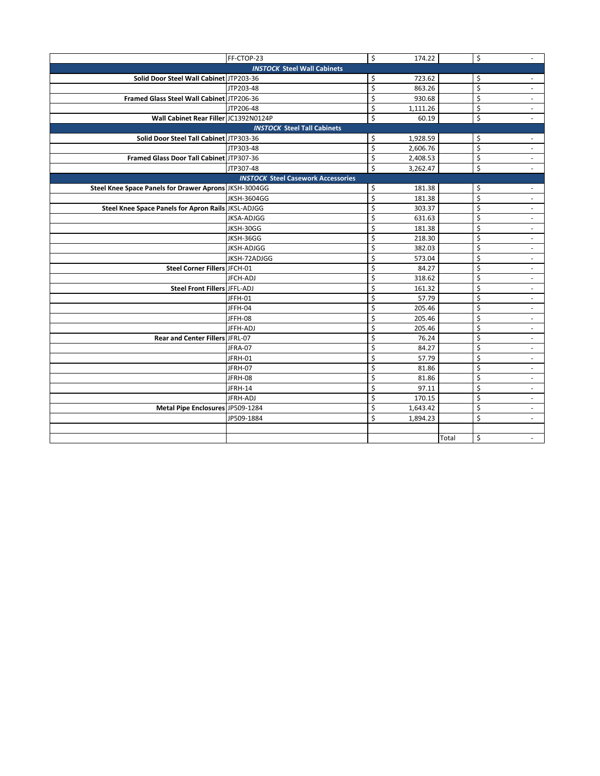|                                                       | FF-CTOP-23                                | \$ | 174.22   |       | \$ | $\overline{\phantom{a}}$ |  |
|-------------------------------------------------------|-------------------------------------------|----|----------|-------|----|--------------------------|--|
| <b>INSTOCK Steel Wall Cabinets</b>                    |                                           |    |          |       |    |                          |  |
| Solid Door Steel Wall Cabinet JTP203-36               |                                           | \$ | 723.62   |       | \$ | $\omega$                 |  |
|                                                       | JTP203-48                                 | \$ | 863.26   |       | \$ | $\sim$                   |  |
| Framed Glass Steel Wall Cabinet JTP206-36             |                                           | \$ | 930.68   |       | Ś  | $\overline{\phantom{a}}$ |  |
|                                                       | JTP206-48                                 | \$ | 1,111.26 |       | \$ |                          |  |
| Wall Cabinet Rear Filler JC1392N0124P                 |                                           | \$ | 60.19    |       | \$ |                          |  |
|                                                       | <b>INSTOCK Steel Tall Cabinets</b>        |    |          |       |    |                          |  |
| Solid Door Steel Tall Cabinet JTP303-36               |                                           | \$ | 1,928.59 |       | \$ | $\overline{\phantom{a}}$ |  |
|                                                       | JTP303-48                                 | Ś  | 2,606.76 |       | Ś  | $\blacksquare$           |  |
| Framed Glass Door Tall Cabinet JTP307-36              |                                           | \$ | 2,408.53 |       | \$ | $\overline{\phantom{a}}$ |  |
|                                                       | JTP307-48                                 | \$ | 3,262.47 |       | \$ | $\sim$                   |  |
|                                                       | <b>INSTOCK Steel Casework Accessories</b> |    |          |       |    |                          |  |
| Steel Knee Space Panels for Drawer Aprons JKSH-3004GG |                                           | \$ | 181.38   |       | \$ | $\sim$                   |  |
|                                                       | <b>JKSH-3604GG</b>                        | Ś  | 181.38   |       | Ś  | ÷.                       |  |
| Steel Knee Space Panels for Apron Rails JKSL-ADJGG    |                                           | \$ | 303.37   |       | \$ | $\overline{\phantom{a}}$ |  |
|                                                       | <b>JKSA-ADJGG</b>                         | \$ | 631.63   |       | Ś  | $\overline{\phantom{a}}$ |  |
|                                                       | JKSH-30GG                                 | \$ | 181.38   |       | \$ | $\omega$                 |  |
|                                                       | JKSH-36GG                                 | \$ | 218.30   |       | \$ | $\sim$                   |  |
|                                                       | <b>JKSH-ADJGG</b>                         | Ś  | 382.03   |       | Ś  | $\overline{\phantom{a}}$ |  |
|                                                       | JKSH-72ADJGG                              | \$ | 573.04   |       | \$ | $\overline{\phantom{a}}$ |  |
| Steel Corner Fillers JFCH-01                          |                                           | \$ | 84.27    |       | \$ | $\overline{\phantom{a}}$ |  |
|                                                       | JFCH-ADJ                                  | \$ | 318.62   |       | \$ | $\overline{\phantom{a}}$ |  |
| Steel Front Fillers JFFL-ADJ                          |                                           | \$ | 161.32   |       | \$ | $\overline{\phantom{a}}$ |  |
|                                                       | JFFH-01                                   | \$ | 57.79    |       | Ś  | $\blacksquare$           |  |
|                                                       | JFFH-04                                   | \$ | 205.46   |       | \$ | $\overline{\phantom{a}}$ |  |
|                                                       | JFFH-08                                   | \$ | 205.46   |       | \$ | $\overline{\phantom{a}}$ |  |
|                                                       | JFFH-ADJ                                  | \$ | 205.46   |       | \$ | $\sim$                   |  |
| Rear and Center Fillers JFRL-07                       |                                           | \$ | 76.24    |       | \$ | $\blacksquare$           |  |
|                                                       | JFRA-07                                   | \$ | 84.27    |       | \$ | $\overline{\phantom{a}}$ |  |
|                                                       | JFRH-01                                   | \$ | 57.79    |       | \$ | $\overline{\phantom{a}}$ |  |
|                                                       | JFRH-07                                   | \$ | 81.86    |       | \$ | $\overline{\phantom{a}}$ |  |
|                                                       | JFRH-08                                   | \$ | 81.86    |       | \$ | $\sim$                   |  |
|                                                       | JFRH-14                                   | \$ | 97.11    |       | \$ | $\blacksquare$           |  |
|                                                       | JFRH-ADJ                                  | \$ | 170.15   |       | \$ | $\sim$                   |  |
| Metal Pipe Enclosures JP509-1284                      |                                           | \$ | 1,643.42 |       | \$ | $\overline{\phantom{a}}$ |  |
|                                                       | JP509-1884                                | \$ | 1,894.23 |       | \$ |                          |  |
|                                                       |                                           |    |          |       |    |                          |  |
|                                                       |                                           |    |          | Total | \$ | ٠                        |  |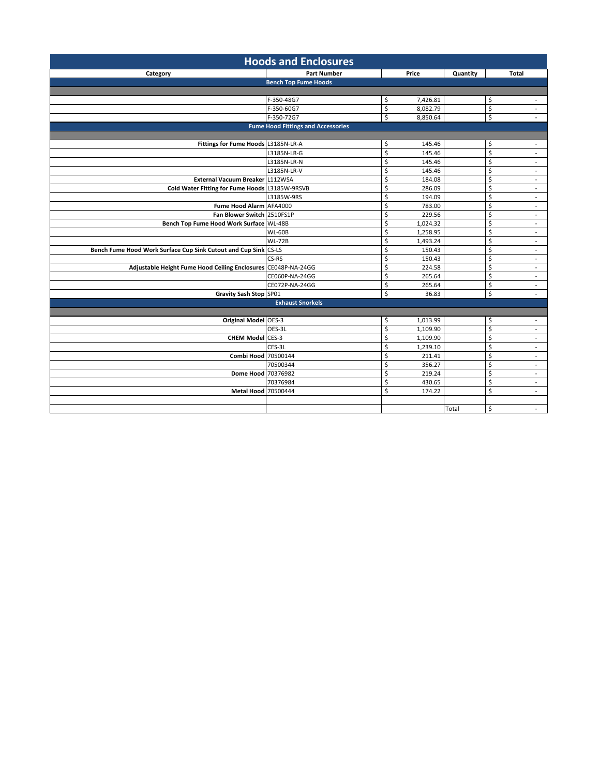| <b>Hoods and Enclosures</b>                                     |                                           |                         |          |          |                  |                             |
|-----------------------------------------------------------------|-------------------------------------------|-------------------------|----------|----------|------------------|-----------------------------|
| Category                                                        | <b>Part Number</b>                        |                         | Price    | Quantity |                  | <b>Total</b>                |
|                                                                 | <b>Bench Top Fume Hoods</b>               |                         |          |          |                  |                             |
|                                                                 |                                           |                         |          |          |                  |                             |
|                                                                 | F-350-48G7                                | \$                      | 7,426.81 |          | \$               | $\sim$                      |
|                                                                 | F-350-60G7                                | \$                      | 8,082.79 |          | \$               | $\sim$                      |
|                                                                 | F-350-72G7                                | \$                      | 8,850.64 |          | $\overline{\xi}$ |                             |
|                                                                 | <b>Fume Hood Fittings and Accessories</b> |                         |          |          |                  |                             |
|                                                                 |                                           |                         |          |          |                  |                             |
| Fittings for Fume Hoods L3185N-LR-A                             |                                           | \$                      | 145.46   |          | \$               | $\overline{\phantom{a}}$    |
|                                                                 | L3185N-LR-G                               | $\overline{\mathsf{S}}$ | 145.46   |          | \$               | $\sim$                      |
|                                                                 | L3185N-LR-N                               | \$                      | 145.46   |          | \$               | $\sim$                      |
|                                                                 | L3185N-LR-V                               | \$                      | 145.46   |          | \$               | $\sim$                      |
| External Vacuum Breaker L112WSA                                 |                                           | \$                      | 184.08   |          | \$               | $\sim$                      |
| Cold Water Fitting for Fume Hoods L3185W-9RSVB                  |                                           | \$                      | 286.09   |          | \$               | $\sim$                      |
|                                                                 | L3185W-9RS                                | \$                      | 194.09   |          | \$               | $\sim$                      |
| Fume Hood Alarm AFA4000                                         |                                           | \$                      | 783.00   |          | \$               | $\sim$                      |
| Fan Blower Switch 2510FS1P                                      |                                           | \$                      | 229.56   |          | \$               | $\mathcal{L}_{\mathcal{A}}$ |
| Bench Top Fume Hood Work Surface WL-48B                         |                                           | \$                      | 1,024.32 |          | \$               | $\sim$                      |
|                                                                 | <b>WL-60B</b>                             | \$                      | 1,258.95 |          | \$               | $\sim$                      |
|                                                                 | <b>WL-72B</b>                             | \$                      | 1,493.24 |          | \$               | $\sim$                      |
| Bench Fume Hood Work Surface Cup Sink Cutout and Cup Sink CS-LS |                                           | \$                      | 150.43   |          | \$               | $\sim$                      |
|                                                                 | CS-RS                                     | \$                      | 150.43   |          | \$               | $\sim$                      |
| Adjustable Height Fume Hood Ceiling Enclosures CE048P-NA-24GG   |                                           | \$                      | 224.58   |          | \$               | $\overline{\phantom{a}}$    |
|                                                                 | CE060P-NA-24GG                            | $\overline{\mathsf{S}}$ | 265.64   |          | $\overline{\xi}$ | $\sim$                      |
|                                                                 | CE072P-NA-24GG                            | \$                      | 265.64   |          | \$               | $\blacksquare$              |
| Gravity Sash Stop SP01                                          |                                           | \$                      | 36.83    |          | \$               | $\mathcal{L}$               |
|                                                                 | <b>Exhaust Snorkels</b>                   |                         |          |          |                  |                             |
|                                                                 |                                           |                         |          |          |                  |                             |
| Original Model OES-3                                            |                                           | \$                      | 1,013.99 |          | \$               | $\sim$                      |
|                                                                 | OES-3L                                    | $\overline{\xi}$        | 1,109.90 |          | \$               | $\sim$                      |
| <b>CHEM Model</b> CES-3                                         |                                           | \$                      | 1,109.90 |          | \$               | $\blacksquare$              |
|                                                                 | CES-3L                                    | \$                      | 1,239.10 |          | \$               | $\sim$                      |
| Combi Hood 70500144                                             |                                           | \$                      | 211.41   |          | \$               | $\sim$                      |
|                                                                 | 70500344                                  | \$                      | 356.27   |          | \$               | $\mathbb{Z}^+$              |
| Dome Hood 70376982                                              |                                           | \$                      | 219.24   |          | \$               | $\sim$                      |
|                                                                 | 70376984                                  | \$                      | 430.65   |          | \$               | $\sim$                      |
| <b>Metal Hood 70500444</b>                                      |                                           | \$                      | 174.22   |          | \$               | $\sim$                      |
|                                                                 |                                           |                         |          |          |                  |                             |
|                                                                 |                                           |                         |          | Total    | \$               | $\sim$                      |
|                                                                 |                                           |                         |          |          |                  |                             |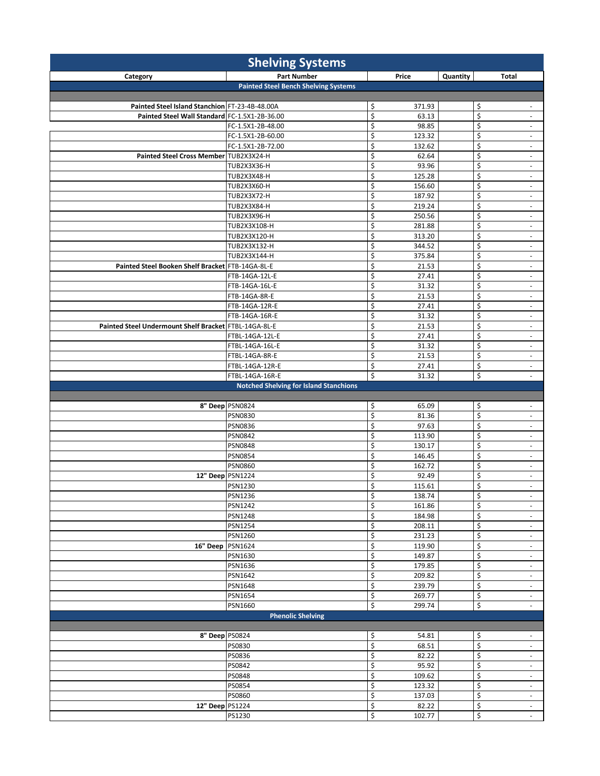| <b>Shelving Systems</b>                               |                                               |                             |                  |                                                      |  |
|-------------------------------------------------------|-----------------------------------------------|-----------------------------|------------------|------------------------------------------------------|--|
| Category                                              | <b>Part Number</b>                            | Price                       | Quantity         | <b>Total</b>                                         |  |
|                                                       | <b>Painted Steel Bench Shelving Systems</b>   |                             |                  |                                                      |  |
|                                                       |                                               |                             |                  |                                                      |  |
| Painted Steel Island Stanchion FT-23-4B-48.00A        |                                               | \$<br>371.93                | \$               | $\overline{\phantom{a}}$                             |  |
| Painted Steel Wall Standard FC-1.5X1-2B-36.00         |                                               | \$<br>63.13                 | $\overline{\xi}$ | $\overline{\phantom{a}}$                             |  |
|                                                       | FC-1.5X1-2B-48.00                             | \$<br>98.85                 | $\overline{\xi}$ | $\sim$                                               |  |
|                                                       | FC-1.5X1-2B-60.00                             | \$<br>123.32                | $\overline{\xi}$ | $\overline{\phantom{a}}$                             |  |
|                                                       | FC-1.5X1-2B-72.00                             | \$<br>132.62                | \$               | $\overline{\phantom{a}}$                             |  |
| Painted Steel Cross Member TUB2X3X24-H                |                                               | \$<br>62.64                 | \$               | $\overline{\phantom{a}}$                             |  |
|                                                       | TUB2X3X36-H<br><b>TUB2X3X48-H</b>             | \$<br>93.96<br>\$<br>125.28 | \$<br>\$         | $\overline{\phantom{a}}$<br>$\overline{\phantom{a}}$ |  |
|                                                       | <b>TUB2X3X60-H</b>                            | \$<br>156.60                | \$               | $\overline{\phantom{a}}$                             |  |
|                                                       | <b>TUB2X3X72-H</b>                            | \$<br>187.92                | \$               | $\overline{\phantom{a}}$                             |  |
|                                                       | <b>TUB2X3X84-H</b>                            | \$<br>219.24                | \$               | $\sim$                                               |  |
|                                                       | TUB2X3X96-H                                   | \$<br>250.56                | \$               | $\overline{\phantom{a}}$                             |  |
|                                                       | TUB2X3X108-H                                  | \$<br>281.88                | \$               | $\blacksquare$                                       |  |
|                                                       | TUB2X3X120-H                                  | \$<br>313.20                | \$               | $\overline{\phantom{a}}$                             |  |
|                                                       | TUB2X3X132-H                                  | \$<br>344.52                | \$               | $\overline{\phantom{a}}$                             |  |
|                                                       | TUB2X3X144-H                                  | \$<br>375.84                | \$               | $\overline{\phantom{a}}$                             |  |
| Painted Steel Booken Shelf Bracket FTB-14GA-8L-E      |                                               | \$<br>21.53                 | \$               | $\overline{\phantom{a}}$                             |  |
|                                                       | FTB-14GA-12L-E                                | \$<br>27.41                 | \$               | $\overline{\phantom{a}}$                             |  |
|                                                       | FTB-14GA-16L-E                                | \$<br>31.32                 | \$               | $\overline{\phantom{a}}$                             |  |
|                                                       | FTB-14GA-8R-E                                 | \$<br>21.53                 | \$               | $\overline{\phantom{a}}$                             |  |
|                                                       | FTB-14GA-12R-E                                | \$<br>27.41                 | \$               | $\overline{\phantom{a}}$                             |  |
|                                                       | FTB-14GA-16R-E                                | \$<br>31.32                 | $\overline{\xi}$ | $\overline{\phantom{a}}$                             |  |
| Painted Steel Undermount Shelf Bracket FTBL-14GA-8L-E |                                               | \$<br>21.53                 | \$               | $\overline{\phantom{a}}$                             |  |
|                                                       | FTBL-14GA-12L-E                               | \$<br>27.41                 | \$               | $\blacksquare$                                       |  |
|                                                       | FTBL-14GA-16L-E                               | \$<br>31.32<br>\$<br>21.53  | \$               | $\overline{\phantom{a}}$                             |  |
|                                                       | FTBL-14GA-8R-E<br>FTBL-14GA-12R-E             | \$<br>27.41                 | \$<br>\$         | $\sim$<br>$\overline{\phantom{a}}$                   |  |
|                                                       | FTBL-14GA-16R-E                               | \$<br>31.32                 | \$               | ä,                                                   |  |
|                                                       | <b>Notched Shelving for Island Stanchions</b> |                             |                  |                                                      |  |
|                                                       |                                               |                             |                  |                                                      |  |
|                                                       | 8" Deep PSN0824                               | \$<br>65.09                 | \$               | $\overline{\phantom{a}}$                             |  |
|                                                       | <b>PSN0830</b>                                | \$<br>81.36                 | $\overline{\xi}$ | $\overline{\phantom{a}}$                             |  |
|                                                       | <b>PSN0836</b>                                | \$<br>97.63                 | \$               | $\overline{\phantom{a}}$                             |  |
|                                                       | <b>PSN0842</b>                                | \$<br>113.90                | \$               | $\overline{\phantom{a}}$                             |  |
|                                                       | <b>PSN0848</b>                                | \$<br>130.17                | $\overline{\xi}$ | $\overline{\phantom{a}}$                             |  |
|                                                       | <b>PSN0854</b>                                | \$<br>146.45                | $\overline{\xi}$ | $\overline{\phantom{a}}$                             |  |
|                                                       | <b>PSN0860</b>                                | \$<br>162.72                | \$               | $\blacksquare$                                       |  |
| 12" Deep PSN1224                                      |                                               | \$<br>92.49                 | \$               | $\overline{\phantom{a}}$                             |  |
|                                                       | <b>PSN1230</b>                                | \$<br>115.61                | \$               | $\overline{\phantom{a}}$                             |  |
|                                                       | PSN1236                                       | \$<br>138.74                | \$               | $\overline{\phantom{a}}$                             |  |
|                                                       | <b>PSN1242</b>                                | \$<br>161.86                | $\overline{\xi}$ | $\overline{\phantom{a}}$                             |  |
|                                                       | <b>PSN1248</b>                                | \$<br>184.98                | \$               | $\overline{\phantom{a}}$                             |  |
|                                                       | <b>PSN1254</b>                                | \$<br>208.11<br>231.23      | \$               | $\blacksquare$                                       |  |
| 16" Deep                                              | PSN1260                                       | \$<br>\$<br>119.90          | \$               | $\overline{\phantom{a}}$                             |  |
|                                                       | PSN1624<br>PSN1630                            | \$<br>149.87                | \$<br>\$         | $\overline{\phantom{a}}$<br>$\overline{\phantom{a}}$ |  |
|                                                       | PSN1636                                       | \$<br>179.85                | \$               | $\overline{\phantom{a}}$                             |  |
|                                                       | PSN1642                                       | \$<br>209.82                | \$               | $\overline{\phantom{a}}$                             |  |
|                                                       | PSN1648                                       | \$<br>239.79                | \$               | $\overline{\phantom{a}}$                             |  |
|                                                       | PSN1654                                       | \$<br>269.77                | \$               | $\sim$                                               |  |
|                                                       | <b>PSN1660</b>                                | \$<br>299.74                | \$               | $\overline{\phantom{a}}$                             |  |
|                                                       | <b>Phenolic Shelving</b>                      |                             |                  |                                                      |  |
|                                                       |                                               |                             |                  |                                                      |  |
| 8" Deep PS0824                                        |                                               | \$<br>54.81                 | \$               | $\overline{\phantom{a}}$                             |  |
|                                                       | PS0830                                        | \$<br>68.51                 | \$               | $\overline{\phantom{a}}$                             |  |
|                                                       | PS0836                                        | \$<br>82.22                 | \$               | $\overline{\phantom{a}}$                             |  |
|                                                       | PS0842                                        | \$<br>95.92                 | \$               | $\overline{\phantom{a}}$                             |  |
|                                                       | PS0848                                        | \$<br>109.62                | \$               | $\overline{\phantom{a}}$                             |  |
|                                                       | PS0854                                        | \$<br>123.32                | $\overline{\xi}$ | $\overline{\phantom{a}}$                             |  |
|                                                       | PS0860                                        | \$<br>137.03                | \$               | $\sim$                                               |  |
| 12" Deep PS1224                                       |                                               | \$<br>82.22                 | \$               | $\overline{\phantom{a}}$                             |  |
|                                                       | PS1230                                        | \$<br>102.77                | \$               | $\overline{\phantom{a}}$                             |  |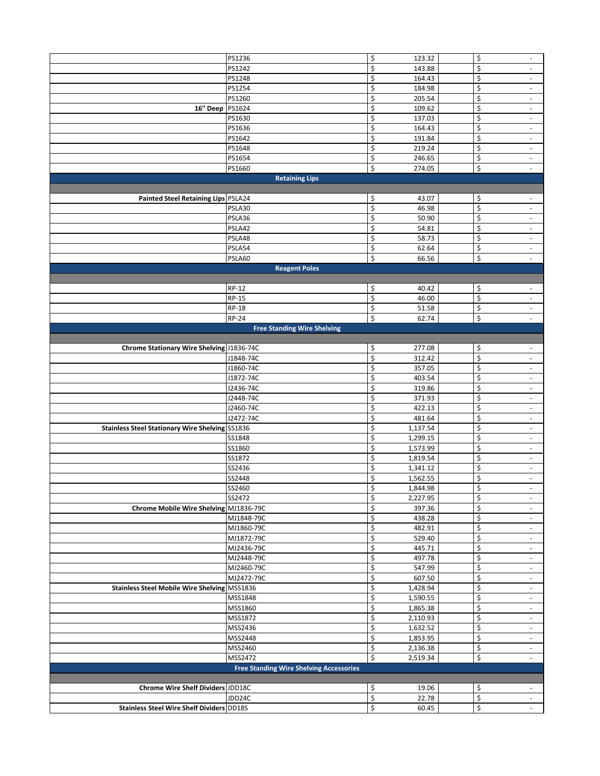|                                                        | PS1236                                         | \$<br>123.32   | \$ | $\overline{\phantom{a}}$ |
|--------------------------------------------------------|------------------------------------------------|----------------|----|--------------------------|
|                                                        | PS1242                                         | \$<br>143.88   | \$ | $\overline{\phantom{a}}$ |
|                                                        | PS1248                                         | \$<br>164.43   | \$ | $\sim$                   |
|                                                        | PS1254                                         | \$<br>184.98   | \$ | $\overline{\phantom{a}}$ |
|                                                        |                                                |                |    |                          |
|                                                        | PS1260                                         | \$<br>205.54   | \$ | $\overline{\phantom{a}}$ |
| 16" Deep                                               | PS1624                                         | \$<br>109.62   | \$ | $\overline{\phantom{a}}$ |
|                                                        | PS1630                                         | \$<br>137.03   | \$ | $\overline{\phantom{a}}$ |
|                                                        |                                                |                |    |                          |
|                                                        | PS1636                                         | \$<br>164.43   | \$ | $\blacksquare$           |
|                                                        | PS1642                                         | \$<br>191.84   | \$ | $\overline{\phantom{a}}$ |
|                                                        | PS1648                                         | \$<br>219.24   | \$ | $\blacksquare$           |
|                                                        |                                                |                |    |                          |
|                                                        | PS1654                                         | \$<br>246.65   | \$ | $\overline{\phantom{a}}$ |
|                                                        | PS1660                                         | \$<br>274.05   | \$ | $\overline{\phantom{a}}$ |
|                                                        | <b>Retaining Lips</b>                          |                |    |                          |
|                                                        |                                                |                |    |                          |
|                                                        |                                                |                |    |                          |
| Painted Steel Retaining Lips PSLA24                    |                                                | \$<br>43.07    | \$ | $\overline{\phantom{a}}$ |
|                                                        | PSLA30                                         | \$<br>46.98    | \$ | $\blacksquare$           |
|                                                        | PSLA36                                         | \$<br>50.90    | \$ | $\overline{\phantom{a}}$ |
|                                                        | PSLA42                                         | \$<br>54.81    | \$ | $\blacksquare$           |
|                                                        |                                                |                |    |                          |
|                                                        | PSLA48                                         | \$<br>58.73    | \$ | $\overline{\phantom{a}}$ |
|                                                        | PSLA54                                         | \$<br>62.64    | \$ | $\overline{\phantom{a}}$ |
|                                                        | PSLA60                                         | \$<br>66.56    | \$ | $\overline{\phantom{a}}$ |
|                                                        |                                                |                |    |                          |
|                                                        | <b>Reagent Poles</b>                           |                |    |                          |
|                                                        |                                                |                |    |                          |
|                                                        | RP-12                                          | \$<br>40.42    | \$ | $\overline{\phantom{a}}$ |
|                                                        | <b>RP-15</b>                                   | \$<br>46.00    | \$ | $\sim$                   |
|                                                        |                                                |                |    |                          |
|                                                        | <b>RP-18</b>                                   | \$<br>51.58    | \$ | $\overline{\phantom{a}}$ |
|                                                        | <b>RP-24</b>                                   | \$<br>62.74    | \$ | $\overline{\phantom{a}}$ |
|                                                        | <b>Free Standing Wire Shelving</b>             |                |    |                          |
|                                                        |                                                |                |    |                          |
|                                                        |                                                |                |    |                          |
| Chrome Stationary Wire Shelving 1836-74C               |                                                | \$<br>277.08   | \$ | $\sim$                   |
|                                                        | J1848-74C                                      | \$<br>312.42   | \$ | $\overline{\phantom{a}}$ |
|                                                        | J1860-74C                                      | \$<br>357.05   | \$ | ٠                        |
|                                                        | J1872-74C                                      | \$<br>403.54   | \$ |                          |
|                                                        |                                                |                |    | $\overline{\phantom{a}}$ |
|                                                        | J2436-74C                                      | \$<br>319.86   | \$ | $\overline{\phantom{a}}$ |
|                                                        | J2448-74C                                      | \$<br>371.93   | \$ | $\overline{\phantom{a}}$ |
|                                                        | J2460-74C                                      | \$<br>422.13   | \$ | $\overline{\phantom{a}}$ |
|                                                        |                                                |                |    |                          |
|                                                        | J2472-74C                                      | \$<br>481.64   | \$ | $\overline{\phantom{a}}$ |
| <b>Stainless Steel Stationary Wire Shelving SS1836</b> |                                                | \$<br>1,137.54 | \$ | $\overline{\phantom{a}}$ |
|                                                        | SS1848                                         | \$<br>1,299.15 | \$ | $\overline{\phantom{a}}$ |
|                                                        | SS1860                                         | \$<br>1,573.99 | \$ | $\overline{\phantom{a}}$ |
|                                                        |                                                |                |    |                          |
|                                                        | SS1872                                         | \$<br>1,819.54 | \$ | $\overline{\phantom{a}}$ |
|                                                        | SS2436                                         | \$<br>1,341.12 | \$ | $\overline{\phantom{a}}$ |
|                                                        | SS2448                                         | \$<br>1,562.55 | \$ | $\overline{\phantom{a}}$ |
|                                                        |                                                |                |    |                          |
|                                                        | SS2460                                         | Ś<br>1,844.98  | Ś  |                          |
|                                                        | SS2472                                         | \$<br>2,227.95 | \$ | $\sim$                   |
| Chrome Mobile Wire Shelving MJ1836-79C                 |                                                | \$<br>397.36   | \$ | $\overline{\phantom{a}}$ |
|                                                        | MJ1848-79C                                     | \$<br>438.28   | \$ | $\sim$                   |
|                                                        |                                                |                |    |                          |
|                                                        | MJ1860-79C                                     | \$<br>482.91   | \$ | $\overline{\phantom{a}}$ |
|                                                        | MJ1872-79C                                     | \$<br>529.40   | \$ | $\overline{\phantom{a}}$ |
|                                                        | MJ2436-79C                                     | \$<br>445.71   | \$ | $\sim$                   |
|                                                        | MJ2448-79C                                     | \$<br>497.78   | \$ | $\overline{\phantom{a}}$ |
|                                                        |                                                |                |    |                          |
|                                                        | MJ2460-79C                                     | \$<br>547.99   | \$ | $\sim$                   |
|                                                        | MJ2472-79C                                     | \$<br>607.50   | \$ | $\overline{\phantom{a}}$ |
| Stainless Steel Mobile Wire Shelving MSS1836           |                                                | \$<br>1,428.94 | \$ | $\sim$                   |
|                                                        | MSS1848                                        | \$<br>1,590.55 | \$ | $\sim$                   |
|                                                        |                                                |                |    |                          |
|                                                        | MSS1860                                        | \$<br>1,865.38 | \$ | $\overline{\phantom{a}}$ |
|                                                        | MSS1872                                        | \$<br>2,110.93 | \$ | $\sim$                   |
|                                                        | MSS2436                                        | \$<br>1,632.52 | \$ | $\sim$                   |
|                                                        | MSS2448                                        | \$<br>1,853.95 | \$ | $\overline{\phantom{a}}$ |
|                                                        |                                                |                |    |                          |
|                                                        | MSS2460                                        | \$<br>2,136.38 | \$ | $\sim$                   |
|                                                        | MSS2472                                        | \$<br>2,519.34 | \$ | $\overline{\phantom{a}}$ |
|                                                        | <b>Free Standing Wire Shelving Accessories</b> |                |    |                          |
|                                                        |                                                |                |    |                          |
|                                                        |                                                |                |    |                          |
| Chrome Wire Shelf Dividers JDD18C                      |                                                | \$<br>19.06    | \$ | $\sim$                   |
|                                                        | JDD24C                                         | \$<br>22.78    | \$ | $\sim$                   |
| <b>Stainless Steel Wire Shelf Dividers DD18S</b>       |                                                | \$<br>60.45    | \$ |                          |
|                                                        |                                                |                |    |                          |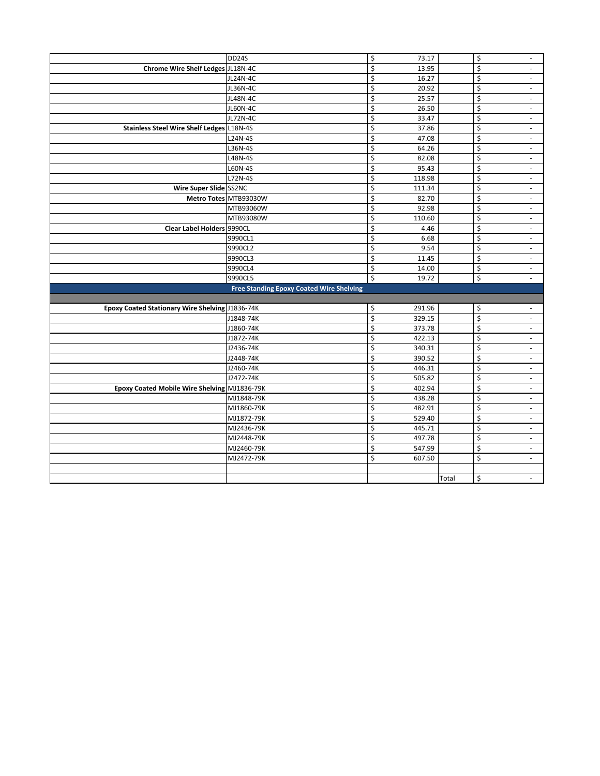|                                                 | DD24S                                           | \$ | 73.17  | \$ | $\overline{\phantom{a}}$ |
|-------------------------------------------------|-------------------------------------------------|----|--------|----|--------------------------|
| Chrome Wire Shelf Ledges JL18N-4C               |                                                 | \$ | 13.95  | \$ | ÷.                       |
|                                                 | <b>JL24N-4C</b>                                 | \$ | 16.27  | \$ | $\sim$                   |
|                                                 | JL36N-4C                                        | \$ | 20.92  | \$ | $\overline{\phantom{a}}$ |
|                                                 | <b>JL48N-4C</b>                                 | \$ | 25.57  | \$ | $\sim$                   |
|                                                 | <b>JL60N-4C</b>                                 | \$ | 26.50  | \$ | $\sim$                   |
|                                                 | <b>JL72N-4C</b>                                 | \$ | 33.47  | \$ | $\overline{\phantom{a}}$ |
| Stainless Steel Wire Shelf Ledges L18N-4S       |                                                 | \$ | 37.86  | \$ | $\sim$                   |
|                                                 | L24N-4S                                         | \$ | 47.08  | \$ | $\omega$                 |
|                                                 | L36N-4S                                         | \$ | 64.26  | \$ | $\overline{\phantom{a}}$ |
|                                                 | L48N-4S                                         | \$ | 82.08  | \$ | $\overline{\phantom{a}}$ |
|                                                 | L60N-4S                                         | \$ | 95.43  | \$ | $\overline{\phantom{a}}$ |
|                                                 | L72N-4S                                         | \$ | 118.98 | \$ | $\overline{\phantom{a}}$ |
| Wire Super Slide SS2NC                          |                                                 | \$ | 111.34 | \$ | $\overline{\phantom{a}}$ |
|                                                 | Metro Totes MTB93030W                           | \$ | 82.70  | \$ | $\overline{\phantom{a}}$ |
|                                                 | MTB93060W                                       | \$ | 92.98  | \$ | $\omega$                 |
|                                                 | MTB93080W                                       | \$ | 110.60 | \$ | $\overline{\phantom{a}}$ |
| <b>Clear Label Holders 9990CL</b>               |                                                 | Ś  | 4.46   | Ś  | $\sim$                   |
|                                                 | 9990CL1                                         | \$ | 6.68   | \$ | $\overline{\phantom{a}}$ |
|                                                 | 9990CL2                                         | \$ | 9.54   | \$ | $\sim$                   |
|                                                 | 9990CL3                                         | \$ | 11.45  | \$ | $\sim$                   |
|                                                 | 9990CL4                                         | \$ | 14.00  | \$ | $\sim$                   |
|                                                 | 9990CL5                                         | \$ | 19.72  | \$ | $\overline{\phantom{a}}$ |
|                                                 | <b>Free Standing Epoxy Coated Wire Shelving</b> |    |        |    |                          |
|                                                 |                                                 |    |        |    |                          |
| Epoxy Coated Stationary Wire Shelving J1836-74K |                                                 | \$ | 291.96 | \$ | $\overline{\phantom{a}}$ |
|                                                 | J1848-74K                                       | \$ | 329.15 | \$ | $\blacksquare$           |
|                                                 | J1860-74K                                       | \$ | 373.78 | \$ | $\overline{\phantom{a}}$ |
|                                                 | J1872-74K                                       | \$ | 422.13 | \$ | $\blacksquare$           |
|                                                 | J2436-74K                                       | \$ | 340.31 | \$ | $\overline{\phantom{a}}$ |
|                                                 | J2448-74K                                       | \$ | 390.52 | \$ | $\overline{\phantom{a}}$ |
|                                                 | J2460-74K                                       | \$ | 446.31 | \$ | $\overline{\phantom{a}}$ |
|                                                 | J2472-74K                                       | \$ | 505.82 | \$ | $\overline{\phantom{a}}$ |
| Epoxy Coated Mobile Wire Shelving MJ1836-79K    |                                                 | \$ | 402.94 | \$ | $\overline{\phantom{a}}$ |
|                                                 | MJ1848-79K                                      | \$ | 438.28 | \$ | $\overline{\phantom{a}}$ |
|                                                 | MJ1860-79K                                      | \$ | 482.91 | \$ | $\sim$                   |
|                                                 | MJ1872-79K                                      | \$ | 529.40 | \$ | $\blacksquare$           |
|                                                 | MJ2436-79K                                      | \$ | 445.71 | \$ | $\overline{\phantom{a}}$ |
|                                                 |                                                 |    |        | \$ | $\overline{\phantom{a}}$ |
|                                                 | MJ2448-79K                                      | \$ | 497.78 |    |                          |
|                                                 | MJ2460-79K                                      | \$ | 547.99 | \$ | $\blacksquare$           |
|                                                 | MJ2472-79K                                      | \$ | 607.50 | \$ | $\overline{\phantom{a}}$ |
|                                                 |                                                 |    |        |    |                          |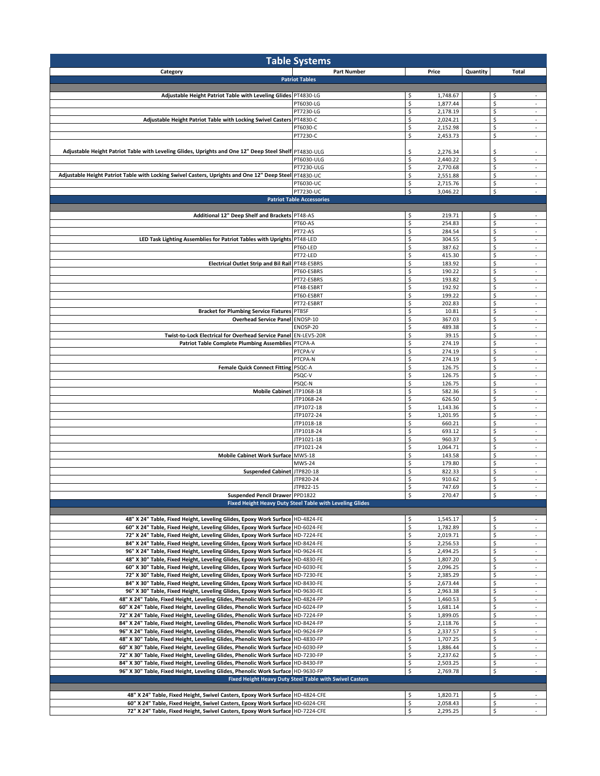| <b>Table Systems</b>                                                                                                                                                 |                                                          |                                                     |                                                |  |  |  |
|----------------------------------------------------------------------------------------------------------------------------------------------------------------------|----------------------------------------------------------|-----------------------------------------------------|------------------------------------------------|--|--|--|
| Category                                                                                                                                                             | <b>Part Number</b>                                       | Price                                               | Quantity<br>Total                              |  |  |  |
|                                                                                                                                                                      | <b>Patriot Tables</b>                                    |                                                     |                                                |  |  |  |
| Adjustable Height Patriot Table with Leveling Glides PT4830-LG                                                                                                       |                                                          | \$<br>1,748.67                                      | \$<br>$\overline{\phantom{a}}$                 |  |  |  |
|                                                                                                                                                                      | PT6030-LG                                                | \$<br>1,877.44                                      | \$<br>÷                                        |  |  |  |
|                                                                                                                                                                      | PT7230-LG                                                | \$<br>2,178.19                                      | \$<br>$\sim$                                   |  |  |  |
| Adjustable Height Patriot Table with Locking Swivel Casters PT4830-C                                                                                                 |                                                          | \$<br>2,024.21                                      | \$<br>$\sim$                                   |  |  |  |
|                                                                                                                                                                      | PT6030-C                                                 | \$<br>2,152.98                                      | \$                                             |  |  |  |
|                                                                                                                                                                      | PT7230-C                                                 | \$<br>2,453.73                                      | \$<br>$\sim$                                   |  |  |  |
| Adjustable Height Patriot Table with Leveling Glides, Uprights and One 12" Deep Steel Shelf PT4830-ULG                                                               |                                                          |                                                     | \$                                             |  |  |  |
|                                                                                                                                                                      | PT6030-ULG                                               | \$<br>2,276.34<br>\$<br>2,440.22                    | \$                                             |  |  |  |
|                                                                                                                                                                      | PT7230-ULG                                               | \$<br>2,770.68                                      | \$<br>$\overline{\phantom{a}}$                 |  |  |  |
| Adjustable Height Patriot Table with Locking Swivel Casters, Uprights and One 12" Deep Steel PT4830-UC                                                               |                                                          | \$<br>2,551.88                                      | \$<br>$\overline{\phantom{a}}$                 |  |  |  |
|                                                                                                                                                                      | PT6030-UC                                                | \$<br>2,715.76                                      | \$                                             |  |  |  |
|                                                                                                                                                                      | PT7230-UC                                                | \$<br>3,046.22                                      | \$<br>$\sim$                                   |  |  |  |
|                                                                                                                                                                      | <b>Patriot Table Accessories</b>                         |                                                     |                                                |  |  |  |
|                                                                                                                                                                      |                                                          |                                                     |                                                |  |  |  |
| Additional 12" Deep Shelf and Brackets PT48-AS                                                                                                                       | <b>PT60-AS</b>                                           | \$<br>219.71<br>$\boldsymbol{\mathsf{S}}$<br>254.83 | \$<br>\$<br>÷                                  |  |  |  |
|                                                                                                                                                                      | PT72-AS                                                  | \$<br>284.54                                        | \$<br>$\overline{\phantom{a}}$                 |  |  |  |
| LED Task Lighting Assemblies for Patriot Tables with Uprights PT48-LED                                                                                               |                                                          | \$<br>304.55                                        | \$<br>$\overline{\phantom{a}}$                 |  |  |  |
|                                                                                                                                                                      | PT60-LED                                                 | \$<br>387.62                                        | \$<br>÷                                        |  |  |  |
|                                                                                                                                                                      | PT72-LED                                                 | \$<br>415.30                                        | \$<br>$\overline{\phantom{a}}$                 |  |  |  |
| Electrical Outlet Strip and Bil Rail PT48-ESBRS                                                                                                                      |                                                          | \$<br>183.92                                        | \$<br>$\sim$                                   |  |  |  |
|                                                                                                                                                                      | PT60-ESBRS                                               | \$<br>190.22                                        | \$                                             |  |  |  |
|                                                                                                                                                                      | PT72-ESBRS<br>PT48-ESBRT                                 | \$<br>193.82<br>\$<br>192.92                        | \$<br>$\overline{\phantom{a}}$<br>\$<br>٠      |  |  |  |
|                                                                                                                                                                      | PT60-ESBRT                                               | \$<br>199.22                                        | \$<br>$\overline{\phantom{a}}$                 |  |  |  |
|                                                                                                                                                                      | PT72-ESBRT                                               | \$<br>202.83                                        | \$<br>÷                                        |  |  |  |
| <b>Bracket for Plumbing Service Fixtures</b>                                                                                                                         | <b>PTBSF</b>                                             | \$<br>10.81                                         | \$<br>٠                                        |  |  |  |
| Overhead Service Panel ENOSP-10                                                                                                                                      |                                                          | \$<br>367.03                                        | \$<br>$\sim$                                   |  |  |  |
|                                                                                                                                                                      | ENOSP-20                                                 | \$<br>489.38                                        | \$                                             |  |  |  |
| Twist-to-Lock Electrical for Overhead Service Panel EN-LEV5-20R                                                                                                      |                                                          | \$<br>39.15                                         | \$<br>$\sim$                                   |  |  |  |
| Patriot Table Complete Plumbing Assemblies PTCPA-A                                                                                                                   |                                                          | \$<br>274.19                                        | \$<br>$\overline{\phantom{a}}$                 |  |  |  |
|                                                                                                                                                                      | PTCPA-V<br>PTCPA-N                                       | \$<br>274.19<br>\$<br>274.19                        | \$<br>$\overline{\phantom{a}}$<br>\$<br>÷      |  |  |  |
| <b>Female Quick Connect Fitting</b>                                                                                                                                  | PSQC-A                                                   | $\boldsymbol{\mathsf{S}}$<br>126.75                 | \$<br>$\overline{\phantom{a}}$                 |  |  |  |
|                                                                                                                                                                      | PSQC-V                                                   | \$<br>126.75                                        | \$<br>$\sim$                                   |  |  |  |
|                                                                                                                                                                      | PSQC-N                                                   | \$<br>126.75                                        | \$<br>$\overline{\phantom{a}}$                 |  |  |  |
| Mobile Cabinet JTP1068-18                                                                                                                                            |                                                          | \$<br>582.36                                        | \$<br>$\sim$                                   |  |  |  |
|                                                                                                                                                                      | JTP1068-24                                               | \$<br>626.50                                        | \$                                             |  |  |  |
|                                                                                                                                                                      | JTP1072-18                                               | \$<br>1,143.36                                      | \$<br>$\sim$                                   |  |  |  |
|                                                                                                                                                                      | JTP1072-24<br>JTP1018-18                                 | \$<br>1,201.95<br>\$<br>660.21                      | \$<br>\$<br>÷                                  |  |  |  |
|                                                                                                                                                                      | JTP1018-24                                               | \$<br>693.12                                        | \$<br>$\overline{\phantom{a}}$                 |  |  |  |
|                                                                                                                                                                      | JTP1021-18                                               | \$<br>960.37                                        | \$<br>$\sim$                                   |  |  |  |
|                                                                                                                                                                      | JTP1021-24                                               | \$<br>1,064.71                                      | \$<br>÷                                        |  |  |  |
| <b>Mobile Cabinet Work Surface</b>                                                                                                                                   | <b>MWS-18</b>                                            | \$<br>143.58                                        | \$<br>$\overline{\phantom{a}}$                 |  |  |  |
|                                                                                                                                                                      | <b>MWS-24</b>                                            | \$<br>179.80                                        | \$<br>$\overline{\phantom{a}}$                 |  |  |  |
| <b>Suspended Cabinet</b>                                                                                                                                             | JTP820-18                                                | \$<br>822.33                                        | \$                                             |  |  |  |
|                                                                                                                                                                      | JTP820-24<br>JTP822-15                                   | \$<br>910.62<br>\$<br>747.69                        | \$<br>$\sim$<br>\$<br>٠                        |  |  |  |
| Suspended Pencil Drawer PPD1822                                                                                                                                      |                                                          | \$<br>270.47                                        | \$                                             |  |  |  |
|                                                                                                                                                                      | Fixed Height Heavy Duty Steel Table with Leveling Glides |                                                     |                                                |  |  |  |
|                                                                                                                                                                      |                                                          |                                                     |                                                |  |  |  |
| 48" X 24" Table, Fixed Height, Leveling Glides, Epoxy Work Surface HD-4824-FE                                                                                        |                                                          | \$<br>1,545.17                                      | \$<br>$\overline{\phantom{a}}$                 |  |  |  |
| 60" X 24" Table, Fixed Height, Leveling Glides, Epoxy Work Surface HD-6024-FE                                                                                        |                                                          | \$<br>1,782.89                                      | \$<br>$\overline{\phantom{a}}$                 |  |  |  |
| 72" X 24" Table, Fixed Height, Leveling Glides, Epoxy Work Surface HD-7224-FE                                                                                        |                                                          | \$<br>2,019.71                                      | \$<br>$\omega$                                 |  |  |  |
| 84" X 24" Table, Fixed Height, Leveling Glides, Epoxy Work Surface HD-8424-FE<br>96" X 24" Table, Fixed Height, Leveling Glides, Epoxy Work Surface HD-9624-FE       |                                                          | \$<br>2,256.53<br>\$<br>2,494.25                    | \$<br>$\overline{\phantom{a}}$<br>\$<br>$\sim$ |  |  |  |
| 48" X 30" Table, Fixed Height, Leveling Glides, Epoxy Work Surface HD-4830-FE                                                                                        |                                                          | \$<br>1,807.20                                      | \$<br>$\overline{\phantom{a}}$                 |  |  |  |
| 60" X 30" Table, Fixed Height, Leveling Glides, Epoxy Work Surface HD-6030-FE                                                                                        |                                                          | \$<br>2,096.25                                      | \$<br>$\sim$                                   |  |  |  |
| 72" X 30" Table, Fixed Height, Leveling Glides, Epoxy Work Surface HD-7230-FE                                                                                        |                                                          | \$<br>2,385.29                                      | \$<br>$\overline{\phantom{a}}$                 |  |  |  |
| 84" X 30" Table, Fixed Height, Leveling Glides, Epoxy Work Surface HD-8430-FE                                                                                        |                                                          | \$<br>2,673.44                                      | \$<br>$\overline{\phantom{a}}$                 |  |  |  |
| 96" X 30" Table, Fixed Height, Leveling Glides, Epoxy Work Surface HD-9630-FE                                                                                        |                                                          | \$<br>2,963.38                                      | \$<br>$\omega$                                 |  |  |  |
| 48" X 24" Table, Fixed Height, Leveling Glides, Phenolic Work Surface HD-4824-FP                                                                                     |                                                          | \$<br>1,460.53                                      | \$<br>$\overline{\phantom{a}}$                 |  |  |  |
| 60" X 24" Table, Fixed Height, Leveling Glides, Phenolic Work Surface HD-6024-FP                                                                                     |                                                          | \$<br>1,681.14                                      | \$<br>$\sim$                                   |  |  |  |
| 72" X 24" Table, Fixed Height, Leveling Glides, Phenolic Work Surface HD-7224-FP<br>84" X 24" Table, Fixed Height, Leveling Glides, Phenolic Work Surface HD-8424-FP |                                                          | \$<br>1,899.05<br>\$<br>2,118.76                    | \$<br>\$<br>$\overline{\phantom{a}}$           |  |  |  |
| 96" X 24" Table, Fixed Height, Leveling Glides, Phenolic Work Surface HD-9624-FP                                                                                     |                                                          | \$<br>2,337.57                                      | \$<br>$\overline{\phantom{a}}$                 |  |  |  |
| 48" X 30" Table, Fixed Height, Leveling Glides, Phenolic Work Surface HD-4830-FP                                                                                     |                                                          | \$<br>1,707.25                                      | \$<br>$\overline{\phantom{a}}$                 |  |  |  |
| 60" X 30" Table, Fixed Height, Leveling Glides, Phenolic Work Surface HD-6030-FP                                                                                     |                                                          | \$<br>1,886.44                                      | \$<br>$\omega$                                 |  |  |  |
| 72" X 30" Table, Fixed Height, Leveling Glides, Phenolic Work Surface HD-7230-FP                                                                                     |                                                          | \$<br>2,237.62                                      | \$<br>$\sim$                                   |  |  |  |
| 84" X 30" Table, Fixed Height, Leveling Glides, Phenolic Work Surface HD-8430-FP                                                                                     |                                                          | \$<br>2,503.25                                      | \$<br>$\overline{\phantom{a}}$                 |  |  |  |
| 96" X 30" Table, Fixed Height, Leveling Glides, Phenolic Work Surface HD-9630-FP                                                                                     |                                                          | \$<br>2,769.78                                      | \$<br>$\overline{\phantom{a}}$                 |  |  |  |
|                                                                                                                                                                      | Fixed Height Heavy Duty Steel Table with Swivel Casters  |                                                     |                                                |  |  |  |
| 48" X 24" Table, Fixed Height, Swivel Casters, Epoxy Work Surface HD-4824-CFE                                                                                        |                                                          | \$<br>1,820.71                                      | \$<br>$\sim$                                   |  |  |  |
| 60" X 24" Table, Fixed Height, Swivel Casters, Epoxy Work Surface HD-6024-CFE                                                                                        |                                                          | \$<br>2,058.43                                      | \$                                             |  |  |  |
| 72" X 24" Table, Fixed Height, Swivel Casters, Epoxy Work Surface HD-7224-CFE                                                                                        |                                                          | \$<br>2,295.25                                      | \$                                             |  |  |  |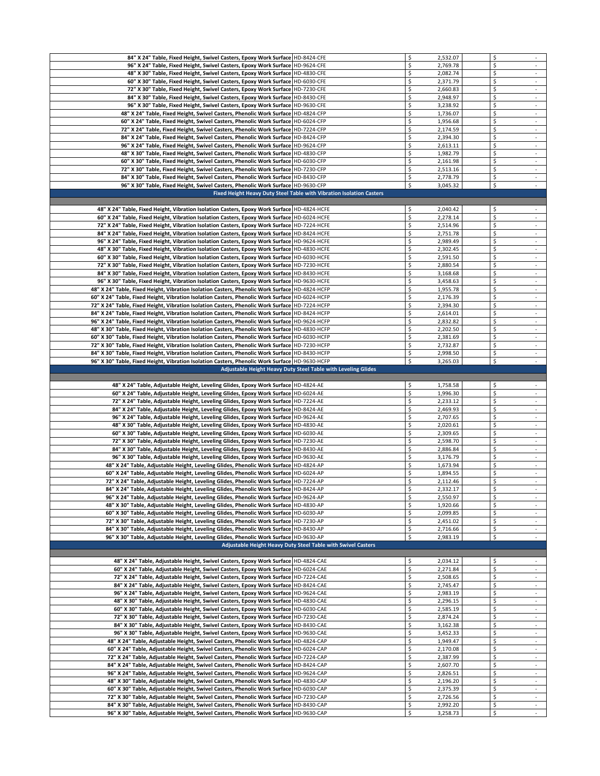| 84" X 24" Table, Fixed Height, Swivel Casters, Epoxy Work Surface HD-8424-CFE                    |                                                                      | \$<br>2,532.07             | \$                                |
|--------------------------------------------------------------------------------------------------|----------------------------------------------------------------------|----------------------------|-----------------------------------|
| 96" X 24" Table, Fixed Height, Swivel Casters, Epoxy Work Surface HD-9624-CFE                    |                                                                      | \$<br>2,769.78             | \$                                |
| 48" X 30" Table, Fixed Height, Swivel Casters, Epoxy Work Surface HD-4830-CFE                    |                                                                      | \$<br>2,082.74             | \$<br>$\sim$                      |
| 60" X 30" Table, Fixed Height, Swivel Casters, Epoxy Work Surface   HD-6030-CFE                  |                                                                      | \$<br>2,371.79             | \$                                |
| 72" X 30" Table, Fixed Height, Swivel Casters, Epoxy Work Surface HD-7230-CFE                    |                                                                      | \$<br>2,660.83             | \$<br>$\omega$                    |
| 84" X 30" Table, Fixed Height, Swivel Casters, Epoxy Work Surface HD-8430-CFE                    |                                                                      | \$<br>2,948.97             | \$<br>$\sim$                      |
| 96" X 30" Table, Fixed Height, Swivel Casters, Epoxy Work Surface HD-9630-CFE                    |                                                                      | \$<br>3,238.92             | \$<br>$\sim$                      |
| 48" X 24" Table, Fixed Height, Swivel Casters, Phenolic Work Surface HD-4824-CFP                 |                                                                      | \$<br>1,736.07             | \$<br>$\overline{\phantom{a}}$    |
| 60" X 24" Table, Fixed Height, Swivel Casters, Phenolic Work Surface HD-6024-CFP                 |                                                                      | \$<br>1,956.68             | \$<br>$\sim$                      |
| 72" X 24" Table, Fixed Height, Swivel Casters, Phenolic Work Surface HD-7224-CFP                 |                                                                      | \$<br>2,174.59             | \$<br>$\sim$                      |
| 84" X 24" Table, Fixed Height, Swivel Casters, Phenolic Work Surface HD-8424-CFP                 |                                                                      | \$<br>2,394.30             | \$<br>$\sim$                      |
| 96" X 24" Table, Fixed Height, Swivel Casters, Phenolic Work Surface HD-9624-CFP                 |                                                                      | \$<br>2,613.11             | \$<br>$\omega$                    |
| 48" X 30" Table, Fixed Height, Swivel Casters, Phenolic Work Surface HD-4830-CFP                 |                                                                      | \$<br>1,982.79             | \$<br>$\overline{\phantom{a}}$    |
| 60" X 30" Table, Fixed Height, Swivel Casters, Phenolic Work Surface HD-6030-CFP                 |                                                                      | \$<br>2,161.98             | \$<br>$\sim$                      |
| 72" X 30" Table, Fixed Height, Swivel Casters, Phenolic Work Surface HD-7230-CFP                 |                                                                      | \$<br>2,513.16             | \$                                |
|                                                                                                  |                                                                      | \$                         | \$<br>$\mathcal{L}_{\mathcal{A}}$ |
| 84" X 30" Table, Fixed Height, Swivel Casters, Phenolic Work Surface HD-8430-CFP                 |                                                                      | 2,778.79<br>\$<br>3,045.32 | \$<br>$\overline{\phantom{a}}$    |
| 96" X 30" Table, Fixed Height, Swivel Casters, Phenolic Work Surface HD-9630-CFP                 |                                                                      |                            |                                   |
|                                                                                                  | Fixed Height Heavy Duty Steel Table with Vibration Isolation Casters |                            |                                   |
| 48" X 24" Table, Fixed Height, Vibration Isolation Casters, Epoxy Work Surface HD-4824-HCFE      |                                                                      | \$<br>2,040.42             | \$                                |
| 60" X 24" Table, Fixed Height, Vibration Isolation Casters, Epoxy Work Surface HD-6024-HCFE      |                                                                      | \$<br>2,278.14             | \$<br>$\sim$                      |
|                                                                                                  |                                                                      |                            | \$                                |
| 72" X 24" Table, Fixed Height, Vibration Isolation Casters, Epoxy Work Surface HD-7224-HCFE      |                                                                      | \$<br>2,514.96             |                                   |
| 84" X 24" Table, Fixed Height, Vibration Isolation Casters, Epoxy Work Surface HD-8424-HCFE      |                                                                      | \$<br>2,751.78             | \$<br>$\sim$                      |
| 96" X 24" Table, Fixed Height, Vibration Isolation Casters, Epoxy Work Surface HD-9624-HCFE      |                                                                      | \$<br>2,989.49             | \$                                |
| 48" X 30" Table, Fixed Height, Vibration Isolation Casters, Epoxy Work Surface HD-4830-HCFE      |                                                                      | \$<br>2,302.45             | \$<br>$\sim$                      |
| 60" X 30" Table, Fixed Height, Vibration Isolation Casters, Epoxy Work Surface HD-6030-HCFE      |                                                                      | \$<br>2,591.50             | \$                                |
| 72" X 30" Table, Fixed Height, Vibration Isolation Casters, Epoxy Work Surface HD-7230-HCFE      |                                                                      | \$<br>2,880.54             | \$<br>$\sim$                      |
| 84" X 30" Table, Fixed Height, Vibration Isolation Casters, Epoxy Work Surface HD-8430-HCFE      |                                                                      | \$<br>3,168.68             | \$<br>$\sim$                      |
| 96" X 30" Table, Fixed Height, Vibration Isolation Casters, Epoxy Work Surface HD-9630-HCFE      |                                                                      | \$<br>3,458.63             | \$<br>$\overline{\phantom{a}}$    |
| 48" X 24" Table, Fixed Height, Vibration Isolation Casters, Phenolic Work Surface HD-4824-HCFP   |                                                                      | \$<br>1,955.78             | \$<br>$\overline{\phantom{a}}$    |
| 60" X 24" Table, Fixed Height, Vibration Isolation Casters, Phenolic Work Surface   HD-6024-HCFP |                                                                      | \$<br>2,176.39             | \$<br>$\sim$                      |
| 72" X 24" Table, Fixed Height, Vibration Isolation Casters, Phenolic Work Surface HD-7224-HCFP   |                                                                      | \$<br>2,394.30             | \$<br>$\sim$                      |
| 84" X 24" Table, Fixed Height, Vibration Isolation Casters, Phenolic Work Surface HD-8424-HCFP   |                                                                      | \$<br>2,614.01             | \$                                |
| 96" X 24" Table, Fixed Height, Vibration Isolation Casters, Phenolic Work Surface   HD-9624-HCFP |                                                                      | \$<br>2,832.82             | \$<br>$\sim$                      |
| 48" X 30" Table, Fixed Height, Vibration Isolation Casters, Phenolic Work Surface HD-4830-HCFP   |                                                                      | \$<br>2,202.50             | \$<br>$\overline{\phantom{a}}$    |
| 60" X 30" Table, Fixed Height, Vibration Isolation Casters, Phenolic Work Surface HD-6030-HCFP   |                                                                      | \$<br>2,381.69             | \$<br>$\sim$                      |
| 72" X 30" Table, Fixed Height, Vibration Isolation Casters, Phenolic Work Surface HD-7230-HCFP   |                                                                      | \$<br>2,732.87             | \$<br>$\overline{\phantom{a}}$    |
| 84" X 30" Table, Fixed Height, Vibration Isolation Casters, Phenolic Work Surface HD-8430-HCFP   |                                                                      | \$<br>2,998.50             | \$<br>$\sim$                      |
| 96" X 30" Table, Fixed Height, Vibration Isolation Casters, Phenolic Work Surface HD-9630-HCFP   |                                                                      | \$<br>3,265.03             | \$                                |
|                                                                                                  | <b>Adjustable Height Heavy Duty Steel Table with Leveling Glides</b> |                            |                                   |
|                                                                                                  |                                                                      |                            |                                   |
|                                                                                                  |                                                                      |                            |                                   |
| 48" X 24" Table, Adjustable Height, Leveling Glides, Epoxy Work Surface HD-4824-AE               |                                                                      | \$<br>1,758.58             | \$<br>$\sim$                      |
| 60" X 24" Table, Adjustable Height, Leveling Glides, Epoxy Work Surface HD-6024-AE               |                                                                      | \$<br>1,996.30             | \$<br>$\sim$                      |
| 72" X 24" Table, Adjustable Height, Leveling Glides, Epoxy Work Surface HD-7224-AE               |                                                                      | \$<br>2,233.12             | \$<br>$\overline{\phantom{a}}$    |
| 84" X 24" Table, Adjustable Height, Leveling Glides, Epoxy Work Surface HD-8424-AE               |                                                                      | \$<br>2,469.93             | \$<br>$\sim$                      |
| 96" X 24" Table, Adjustable Height, Leveling Glides, Epoxy Work Surface HD-9624-AE               |                                                                      | \$<br>2,707.65             | \$<br>$\sim$                      |
| 48" X 30" Table, Adjustable Height, Leveling Glides, Epoxy Work Surface HD-4830-AE               |                                                                      | \$<br>2,020.61             | \$                                |
| 60" X 30" Table, Adjustable Height, Leveling Glides, Epoxy Work Surface HD-6030-AE               |                                                                      | \$<br>2,309.65             | \$<br>$\mathcal{L}_{\mathcal{A}}$ |
| 72" X 30" Table, Adjustable Height, Leveling Glides, Epoxy Work Surface HD-7230-AE               |                                                                      | \$<br>2,598.70             | \$                                |
| 84" X 30" Table, Adjustable Height, Leveling Glides, Epoxy Work Surface HD-8430-AE               |                                                                      | \$<br>2,886.84             | \$<br>$\sim$                      |
| 96" X 30" Table, Adjustable Height, Leveling Glides, Epoxy Work Surface HD-9630-AE               |                                                                      | \$<br>3,176.79             | \$                                |
| 48" X 24" Table, Adjustable Height, Leveling Glides, Phenolic Work Surface HD-4824-AP            |                                                                      | \$<br>1,673.94             | \$<br>$\sim$                      |
| 60" X 24" Table, Adjustable Height, Leveling Glides, Phenolic Work Surface HD-6024-AP            |                                                                      | \$<br>1,894.55             | \$<br>$\sim$                      |
| 72" X 24" Table, Adjustable Height, Leveling Glides, Phenolic Work Surface   HD-7224-AP          |                                                                      | \$<br>2,112.46             | \$<br>$\overline{\phantom{a}}$    |
| 84" X 24" Table, Adjustable Height, Leveling Glides, Phenolic Work Surface HD-8424-AP            |                                                                      | \$<br>2,332.17             | \$                                |
| 96" X 24" Table, Adjustable Height, Leveling Glides, Phenolic Work Surface HD-9624-AP            |                                                                      | \$<br>2,550.97             | \$                                |
| 48" X 30" Table, Adjustable Height, Leveling Glides, Phenolic Work Surface HD-4830-AP            |                                                                      | \$<br>1,920.66             | \$<br>$\sim$                      |
| 60" X 30" Table, Adjustable Height, Leveling Glides, Phenolic Work Surface HD-6030-AP            |                                                                      | \$<br>2,099.85             | \$                                |
| 72" X 30" Table, Adjustable Height, Leveling Glides, Phenolic Work Surface HD-7230-AP            |                                                                      | \$<br>2,451.02             | \$<br>$\mathcal{L}_{\mathcal{A}}$ |
| 84" X 30" Table, Adjustable Height, Leveling Glides, Phenolic Work Surface HD-8430-AP            |                                                                      | \$<br>2,716.66             | \$<br>$\overline{\phantom{a}}$    |
| 96" X 30" Table, Adjustable Height, Leveling Glides, Phenolic Work Surface HD-9630-AP            |                                                                      | \$<br>2,983.19             | \$<br>$\sim$                      |
|                                                                                                  | Adjustable Height Heavy Duty Steel Table with Swivel Casters         |                            |                                   |
|                                                                                                  |                                                                      |                            |                                   |
| 48" X 24" Table, Adjustable Height, Swivel Casters, Epoxy Work Surface HD-4824-CAE               |                                                                      | \$<br>2,034.12             | \$<br>$\sim$                      |
| 60" X 24" Table, Adjustable Height, Swivel Casters, Epoxy Work Surface HD-6024-CAE               |                                                                      | \$<br>2,271.84             | \$<br>$\overline{\phantom{a}}$    |
| 72" X 24" Table, Adjustable Height, Swivel Casters, Epoxy Work Surface HD-7224-CAE               |                                                                      | \$<br>2,508.65             | \$<br>$\sim$                      |
| 84" X 24" Table, Adjustable Height, Swivel Casters, Epoxy Work Surface HD-8424-CAE               |                                                                      | \$<br>2,745.47             | \$<br>$\sim$                      |
| 96" X 24" Table, Adjustable Height, Swivel Casters, Epoxy Work Surface HD-9624-CAE               |                                                                      | \$<br>2,983.19             | \$<br>$\sim$                      |
| 48" X 30" Table, Adjustable Height, Swivel Casters, Epoxy Work Surface HD-4830-CAE               |                                                                      | \$<br>2,296.15             | \$<br>$\overline{\phantom{a}}$    |
| 60" X 30" Table, Adjustable Height, Swivel Casters, Epoxy Work Surface HD-6030-CAE               |                                                                      | \$<br>2,585.19             | \$<br>$\sim$                      |
| 72" X 30" Table, Adjustable Height, Swivel Casters, Epoxy Work Surface HD-7230-CAE               |                                                                      | \$<br>2,874.24             | \$<br>$\overline{\phantom{a}}$    |
| 84" X 30" Table, Adjustable Height, Swivel Casters, Epoxy Work Surface HD-8430-CAE               |                                                                      | \$<br>3,162.38             | \$<br>$\sim$                      |
| 96" X 30" Table, Adjustable Height, Swivel Casters, Epoxy Work Surface HD-9630-CAE               |                                                                      | \$<br>3,452.33             | \$<br>$\overline{\phantom{a}}$    |
| 48" X 24" Table, Adjustable Height, Swivel Casters, Phenolic Work Surface HD-4824-CAP            |                                                                      | \$<br>1,949.47             | \$<br>$\overline{\phantom{a}}$    |
| 60" X 24" Table, Adjustable Height, Swivel Casters, Phenolic Work Surface HD-6024-CAP            |                                                                      | \$<br>2,170.08             | \$<br>$\sim$                      |
| 72" X 24" Table, Adjustable Height, Swivel Casters, Phenolic Work Surface HD-7224-CAP            |                                                                      | \$<br>2,387.99             | \$                                |
| 84" X 24" Table, Adjustable Height, Swivel Casters, Phenolic Work Surface HD-8424-CAP            |                                                                      | \$<br>2,607.70             | \$<br>$\mathcal{L}_{\mathcal{A}}$ |
| 96" X 24" Table, Adjustable Height, Swivel Casters, Phenolic Work Surface   HD-9624-CAP          |                                                                      | \$<br>2,826.51             | \$<br>$\sim$                      |
| 48" X 30" Table, Adjustable Height, Swivel Casters, Phenolic Work Surface HD-4830-CAP            |                                                                      | \$<br>2,196.20             | \$<br>$\sim$                      |
| 60" X 30" Table, Adjustable Height, Swivel Casters, Phenolic Work Surface HD-6030-CAP            |                                                                      | \$<br>2,375.39             | \$<br>÷.                          |
| 72" X 30" Table, Adjustable Height, Swivel Casters, Phenolic Work Surface HD-7230-CAP            |                                                                      | \$<br>2,726.56             | \$<br>$\sim$                      |
| 84" X 30" Table, Adjustable Height, Swivel Casters, Phenolic Work Surface HD-8430-CAP            |                                                                      | \$<br>2,992.20             | \$<br>$\sim$<br>\$                |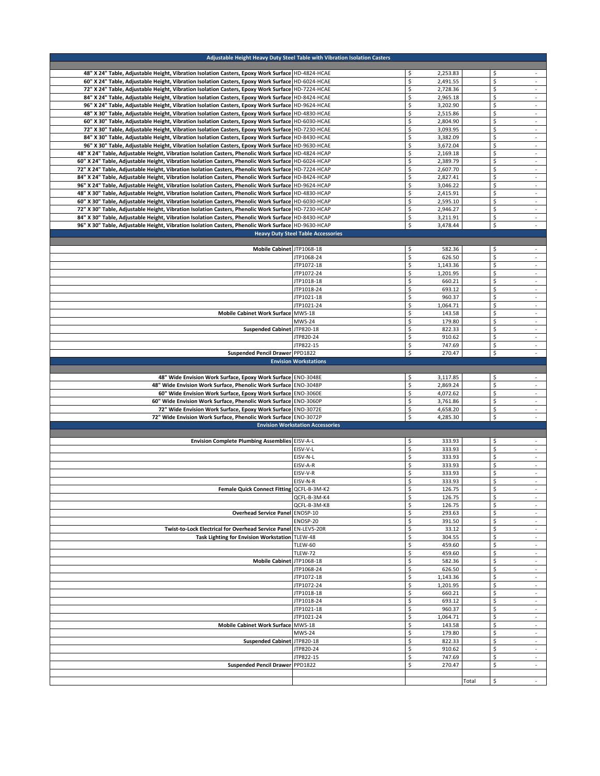| Adjustable Height Heavy Duty Steel Table with Vibration Isolation Casters                             |                                           |                              |       |                                      |
|-------------------------------------------------------------------------------------------------------|-------------------------------------------|------------------------------|-------|--------------------------------------|
| 48" X 24" Table, Adjustable Height, Vibration Isolation Casters, Epoxy Work Surface HD-4824-HCAE      |                                           | \$<br>2,253.83               |       | \$<br>$\sim$                         |
| 60" X 24" Table, Adjustable Height, Vibration Isolation Casters, Epoxy Work Surface HD-6024-HCAE      |                                           | \$<br>2,491.55               |       | \$<br>÷,                             |
| 72" X 24" Table, Adjustable Height, Vibration Isolation Casters, Epoxy Work Surface HD-7224-HCAE      |                                           | \$<br>2,728.36               |       | \$<br>$\sim$                         |
| 84" X 24" Table, Adjustable Height, Vibration Isolation Casters, Epoxy Work Surface HD-8424-HCAE      |                                           | \$<br>2,965.18               |       | \$<br>$\overline{\phantom{a}}$       |
| 96" X 24" Table, Adjustable Height, Vibration Isolation Casters, Epoxy Work Surface HD-9624-HCAE      |                                           | \$<br>3,202.90               |       | \$<br>$\sim$                         |
| 48" X 30" Table, Adjustable Height, Vibration Isolation Casters, Epoxy Work Surface HD-4830-HCAE      |                                           | \$<br>2,515.86               |       | \$                                   |
| 60" X 30" Table, Adjustable Height, Vibration Isolation Casters, Epoxy Work Surface HD-6030-HCAE      |                                           | \$<br>2,804.90               |       | \$<br>÷                              |
| 72" X 30" Table, Adjustable Height, Vibration Isolation Casters, Epoxy Work Surface HD-7230-HCAE      |                                           | \$<br>3,093.95               |       | \$<br>$\sim$                         |
| 84" X 30" Table, Adjustable Height, Vibration Isolation Casters, Epoxy Work Surface HD-8430-HCAE      |                                           | \$<br>3,382.09               |       | \$<br>$\overline{\phantom{a}}$       |
| 96" X 30" Table, Adjustable Height, Vibration Isolation Casters, Epoxy Work Surface HD-9630-HCAE      |                                           | \$<br>3,672.04               |       | \$<br>$\omega$                       |
| 48" X 24" Table, Adjustable Height, Vibration Isolation Casters, Phenolic Work Surface   HD-4824-HCAP |                                           | \$<br>2.169.18               |       | \$<br>$\overline{\phantom{a}}$       |
| 60" X 24" Table, Adjustable Height, Vibration Isolation Casters, Phenolic Work Surface HD-6024-HCAP   |                                           | \$<br>2,389.79               |       | \$<br>$\sim$                         |
| 72" X 24" Table, Adjustable Height, Vibration Isolation Casters, Phenolic Work Surface HD-7224-HCAP   |                                           | \$<br>2,607.70               |       | \$                                   |
| 84" X 24" Table, Adjustable Height, Vibration Isolation Casters, Phenolic Work Surface HD-8424-HCAP   |                                           | \$<br>2,827.41               |       | \$<br>$\sim$                         |
| 96" X 24" Table, Adjustable Height, Vibration Isolation Casters, Phenolic Work Surface HD-9624-HCAP   |                                           | \$<br>3,046.22               |       | \$<br>$\overline{\phantom{a}}$       |
| 48" X 30" Table, Adjustable Height, Vibration Isolation Casters, Phenolic Work Surface   HD-4830-HCAP |                                           | \$<br>2,415.91               |       | \$<br>$\sim$                         |
| 60" X 30" Table, Adjustable Height, Vibration Isolation Casters, Phenolic Work Surface HD-6030-HCAP   |                                           | \$<br>2,595.10               |       | \$<br>$\omega$                       |
| 72" X 30" Table, Adjustable Height, Vibration Isolation Casters, Phenolic Work Surface HD-7230-HCAP   |                                           | \$<br>2,946.27               |       | \$<br>÷                              |
| 84" X 30" Table, Adjustable Height, Vibration Isolation Casters, Phenolic Work Surface HD-8430-HCAP   |                                           | \$<br>3,211.91               |       | \$<br>$\sim$                         |
| 96" X 30" Table, Adjustable Height, Vibration Isolation Casters, Phenolic Work Surface HD-9630-HCAP   |                                           | \$<br>3,478.44               |       | \$                                   |
|                                                                                                       | <b>Heavy Duty Steel Table Accessories</b> |                              |       |                                      |
|                                                                                                       |                                           |                              |       |                                      |
| Mobile Cabinet JTP1068-18                                                                             |                                           | \$<br>582.36                 |       | \$<br>$\sim$                         |
|                                                                                                       | JTP1068-24                                | \$<br>626.50                 |       | \$<br>ä,                             |
|                                                                                                       | JTP1072-18                                | \$<br>1,143.36               |       | \$<br>$\sim$                         |
|                                                                                                       | JTP1072-24                                | \$<br>1,201.95               |       | \$<br>$\overline{\phantom{a}}$       |
|                                                                                                       | JTP1018-18                                | $\sf S$<br>660.21            |       | \$<br>$\sim$                         |
|                                                                                                       | JTP1018-24                                | \$<br>693.12                 |       | \$<br>$\omega$                       |
|                                                                                                       | JTP1021-18                                | \$<br>960.37                 |       | \$<br>$\overline{\phantom{a}}$       |
|                                                                                                       | JTP1021-24                                | \$<br>1,064.71               |       | \$<br>$\sim$                         |
| Mobile Cabinet Work Surface MWS-18                                                                    |                                           | \$<br>143.58                 |       | \$                                   |
|                                                                                                       | <b>MWS-24</b>                             | \$<br>179.80                 |       | \$<br>$\overline{\phantom{a}}$       |
| Suspended Cabinet JTP820-18                                                                           |                                           | \$<br>822.33                 |       | \$<br>$\overline{\phantom{a}}$       |
|                                                                                                       | JTP820-24                                 | \$<br>910.62                 |       | \$<br>$\sim$                         |
|                                                                                                       | JTP822-15                                 | \$<br>747.69                 |       | \$<br>$\omega$                       |
| Suspended Pencil Drawer PPD1822                                                                       |                                           | $\mathsf{\hat{S}}$<br>270.47 |       | \$<br>$\sim$                         |
|                                                                                                       | <b>Envision Workstations</b>              |                              |       |                                      |
|                                                                                                       |                                           |                              |       |                                      |
|                                                                                                       |                                           |                              |       |                                      |
| 48" Wide Envision Work Surface, Epoxy Work Surface ENO-3048E                                          |                                           | \$<br>3,117.85               |       | \$<br>$\sim$                         |
| 48" Wide Envision Work Surface, Phenolic Work Surface ENO-3048P                                       |                                           | \$<br>2,869.24               |       | \$<br>$\overline{\phantom{a}}$       |
| 60" Wide Envision Work Surface, Epoxy Work Surface ENO-3060E                                          |                                           | \$<br>4,072.62               |       | \$<br>$\sim$                         |
| 60" Wide Envision Work Surface, Phenolic Work Surface ENO-3060P                                       |                                           | \$<br>3,761.86               |       | \$<br>$\omega$                       |
| 72" Wide Envision Work Surface, Epoxy Work Surface ENO-3072E                                          |                                           | \$<br>4,658.20               |       | \$<br>$\omega$                       |
| 72" Wide Envision Work Surface, Phenolic Work Surface ENO-3072P                                       |                                           | \$<br>4,285.30               |       | \$<br>$\overline{\phantom{a}}$       |
|                                                                                                       | <b>Envision Workstation Accessories</b>   |                              |       |                                      |
|                                                                                                       |                                           |                              |       |                                      |
| Envision Complete Plumbing Assemblies EISV-A-L                                                        |                                           | \$<br>333.93                 |       | \$<br>$\sim$                         |
|                                                                                                       | EISV-V-L                                  | \$<br>333.93                 |       | \$<br>$\sim$                         |
|                                                                                                       | EISV-N-L                                  | \$<br>333.93                 |       | \$                                   |
|                                                                                                       | EISV-A-R                                  | \$<br>333.93                 |       | \$<br>$\sim$                         |
|                                                                                                       | EISV-V-R                                  | \$<br>333.93                 |       | \$<br>$\overline{\phantom{a}}$       |
|                                                                                                       | EISV-N-R                                  | \$<br>333.93<br>Ś            |       | \$<br>$\overline{\phantom{a}}$<br>Ś  |
| <b>Female Quick Connect Fitting</b>                                                                   | QCFL-B-3M-K2<br>QCFL-B-3M-K4              | 126.75<br>\$<br>126.75       |       | \$<br>$\overline{\phantom{a}}$       |
|                                                                                                       |                                           |                              |       | $\sim$                               |
| <b>Overhead Service Panel</b>                                                                         | QCFL-B-3M-K8<br>ENOSP-10                  | \$<br>126.75<br>\$<br>293.63 |       | \$<br>\$                             |
|                                                                                                       | ENOSP-20                                  | \$<br>391.50                 |       | \$<br>÷                              |
|                                                                                                       |                                           |                              |       | $\sim$                               |
| Twist-to-Lock Electrical for Overhead Service Panel EN-LEV5-20R                                       |                                           | \$<br>33.12                  |       | \$<br>\$<br>$\overline{\phantom{a}}$ |
| Task Lighting for Envision Workstation TLEW-48                                                        | TLEW-60                                   | \$<br>304.55<br>\$<br>459.60 |       | \$<br>÷.                             |
|                                                                                                       | TLEW-72                                   | \$<br>459.60                 |       | \$<br>$\overline{\phantom{a}}$       |
| Mobile Cabinet JTP1068-18                                                                             |                                           | \$<br>582.36                 |       | \$<br>$\sim$                         |
|                                                                                                       | JTP1068-24                                | \$<br>626.50                 |       | \$<br>$\overline{\phantom{a}}$       |
|                                                                                                       | JTP1072-18                                | \$<br>1,143.36               |       | \$<br>$\sim$                         |
|                                                                                                       | JTP1072-24                                | \$<br>1,201.95               |       | \$                                   |
|                                                                                                       | JTP1018-18                                | \$<br>660.21                 |       | \$<br>$\sim$                         |
|                                                                                                       | JTP1018-24                                | \$<br>693.12                 |       | \$                                   |
|                                                                                                       | JTP1021-18                                | \$<br>960.37                 |       | \$<br>$\overline{\phantom{a}}$       |
|                                                                                                       | JTP1021-24                                | \$<br>1,064.71               |       | \$<br>$\sim$                         |
| Mobile Cabinet Work Surface MWS-18                                                                    |                                           | \$<br>143.58                 |       | \$<br>$\overline{\phantom{a}}$       |
|                                                                                                       | <b>MWS-24</b>                             | \$<br>179.80                 |       | \$<br>÷                              |
| Suspended Cabinet JTP820-18                                                                           |                                           | \$<br>822.33                 |       | \$<br>$\overline{\phantom{a}}$       |
|                                                                                                       | JTP820-24                                 | \$<br>910.62                 |       | \$<br>$\sim$                         |
|                                                                                                       | JTP822-15                                 | \$<br>747.69                 |       | \$                                   |
| <b>Suspended Pencil Drawer</b>                                                                        | PPD1822                                   | Ś<br>270.47                  |       | \$<br>$\sim$                         |
|                                                                                                       |                                           |                              | Total | \$<br>$\overline{\phantom{a}}$       |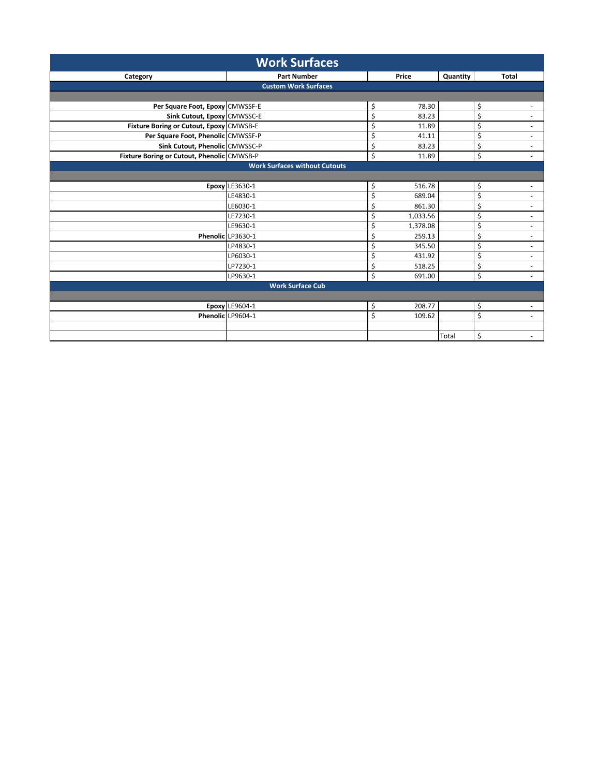| <b>Work Surfaces</b>                       |                                      |                |          |                                |  |
|--------------------------------------------|--------------------------------------|----------------|----------|--------------------------------|--|
| Category                                   | <b>Part Number</b>                   | Price          | Quantity | Total                          |  |
|                                            | <b>Custom Work Surfaces</b>          |                |          |                                |  |
|                                            |                                      |                |          |                                |  |
| Per Square Foot, Epoxy CMWSSF-E            |                                      | \$<br>78.30    |          | \$                             |  |
| Sink Cutout, Epoxy CMWSSC-E                |                                      | \$<br>83.23    |          | \$<br>٠                        |  |
| Fixture Boring or Cutout, Epoxy CMWSB-E    |                                      | \$<br>11.89    |          | \$<br>$\overline{\phantom{a}}$ |  |
| Per Square Foot, Phenolic CMWSSF-P         |                                      | \$<br>41.11    |          | \$<br>٠                        |  |
| Sink Cutout, Phenolic CMWSSC-P             |                                      | \$<br>83.23    |          | Ś<br>$\overline{\phantom{a}}$  |  |
| Fixture Boring or Cutout, Phenolic CMWSB-P |                                      | \$<br>11.89    |          | \$<br>÷.                       |  |
|                                            | <b>Work Surfaces without Cutouts</b> |                |          |                                |  |
|                                            |                                      |                |          |                                |  |
|                                            | <b>Epoxy LE3630-1</b>                | \$<br>516.78   |          | \$<br>$\overline{\phantom{a}}$ |  |
|                                            | LE4830-1                             | \$<br>689.04   |          | Ś<br>$\overline{\phantom{a}}$  |  |
|                                            | LE6030-1                             | \$<br>861.30   |          | \$<br>$\blacksquare$           |  |
|                                            | LE7230-1                             | \$<br>1,033.56 |          | \$<br>٠                        |  |
|                                            | LE9630-1                             | \$<br>1,378.08 |          | \$<br>÷.                       |  |
|                                            | Phenolic LP3630-1                    | \$<br>259.13   |          | \$<br>$\overline{\phantom{m}}$ |  |
|                                            | LP4830-1                             | \$<br>345.50   |          | \$<br>$\sim$                   |  |
|                                            | LP6030-1                             | \$<br>431.92   |          | \$<br>$\sim$                   |  |
|                                            | LP7230-1                             | \$<br>518.25   |          | \$<br>٠                        |  |
|                                            | LP9630-1                             | \$<br>691.00   |          | \$                             |  |
|                                            | <b>Work Surface Cub</b>              |                |          |                                |  |
|                                            |                                      |                |          |                                |  |
|                                            | Epoxy LE9604-1                       | 208.77<br>\$   |          | \$<br>÷.                       |  |
|                                            | Phenolic LP9604-1                    | \$<br>109.62   |          | \$<br>$\sim$                   |  |
|                                            |                                      |                |          |                                |  |
|                                            |                                      |                | Total    | \$<br>$\sim$                   |  |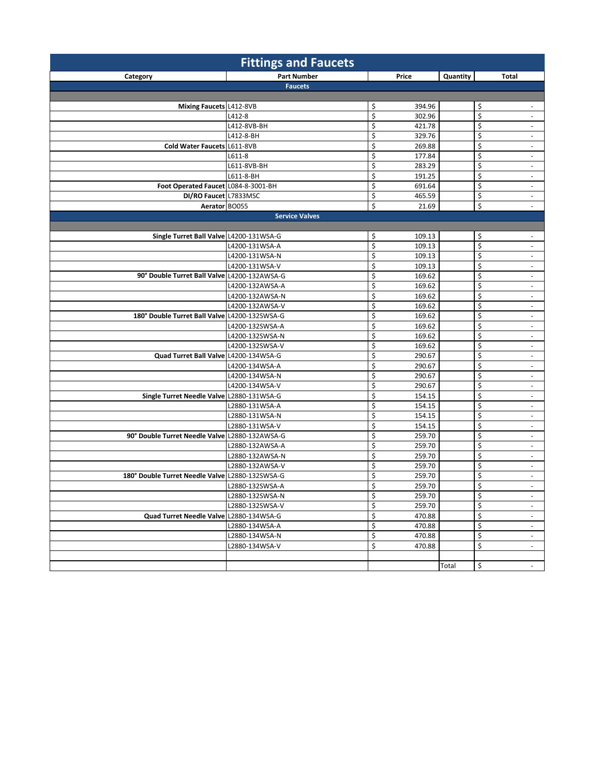| <b>Fittings and Faucets</b>                    |                       |                        |          |                                          |  |
|------------------------------------------------|-----------------------|------------------------|----------|------------------------------------------|--|
| Category                                       | <b>Part Number</b>    | Price                  | Quantity | Total                                    |  |
|                                                | <b>Faucets</b>        |                        |          |                                          |  |
|                                                |                       |                        |          |                                          |  |
| Mixing Faucets L412-8VB                        |                       | \$<br>394.96           |          | \$<br>$\sim$                             |  |
|                                                | L412-8                | \$<br>302.96           |          | \$                                       |  |
|                                                | L412-8VB-BH           | \$<br>421.78           |          | \$<br>$\sim$                             |  |
|                                                | L412-8-BH             | \$<br>329.76           |          | \$<br>$\overline{\phantom{a}}$           |  |
| Cold Water Faucets L611-8VB                    |                       | \$<br>269.88           |          | \$<br>$\overline{\phantom{a}}$           |  |
|                                                | L611-8                | \$<br>177.84           |          | \$<br>$\blacksquare$                     |  |
|                                                | L611-8VB-BH           | \$<br>283.29           |          | \$<br>$\overline{\phantom{a}}$           |  |
|                                                | L611-8-BH             | \$<br>191.25           |          | \$<br>$\overline{\phantom{a}}$           |  |
| Foot Operated Faucet L084-8-3001-BH            |                       | \$<br>691.64           |          | \$<br>$\overline{\phantom{a}}$           |  |
| DI/RO Faucet L7833MSC                          |                       | \$<br>465.59           |          | \$<br>$\overline{\phantom{a}}$           |  |
| Aerator BO055                                  |                       | \$<br>21.69            |          | \$<br>$\blacksquare$                     |  |
|                                                | <b>Service Valves</b> |                        |          |                                          |  |
|                                                |                       |                        |          |                                          |  |
| Single Turret Ball Valve L4200-131WSA-G        |                       | \$<br>109.13           |          | \$<br>$\overline{\phantom{a}}$           |  |
|                                                | L4200-131WSA-A        | \$<br>109.13           |          | \$<br>$\overline{\phantom{a}}$           |  |
|                                                | L4200-131WSA-N        | \$<br>109.13           |          | \$<br>$\blacksquare$                     |  |
|                                                | L4200-131WSA-V        | \$<br>109.13           |          | \$<br>$\overline{\phantom{a}}$           |  |
| 90° Double Turret Ball Valve L4200-132AWSA-G   |                       | \$<br>169.62           |          | \$<br>$\overline{\phantom{a}}$           |  |
|                                                | L4200-132AWSA-A       | \$<br>169.62           |          | \$<br>$\overline{\phantom{a}}$           |  |
|                                                | L4200-132AWSA-N       | \$<br>169.62           |          | \$<br>$\overline{\phantom{a}}$           |  |
|                                                | L4200-132AWSA-V       | \$<br>169.62           |          | \$<br>$\overline{\phantom{a}}$           |  |
| 180° Double Turret Ball Valve L4200-132SWSA-G  |                       | \$<br>169.62           |          | \$                                       |  |
|                                                | L4200-132SWSA-A       | \$<br>169.62<br>\$     |          | \$<br>$\sim$<br>\$                       |  |
|                                                | L4200-132SWSA-N       | 169.62<br>\$<br>169.62 |          | $\overline{\phantom{a}}$<br>\$<br>$\sim$ |  |
| Quad Turret Ball Valve L4200-134WSA-G          | L4200-132SWSA-V       | \$<br>290.67           |          | \$<br>$\blacksquare$                     |  |
|                                                | L4200-134WSA-A        | \$<br>290.67           |          | \$<br>$\overline{\phantom{a}}$           |  |
|                                                | L4200-134WSA-N        | \$<br>290.67           |          | \$<br>÷.                                 |  |
|                                                | L4200-134WSA-V        | \$<br>290.67           |          | \$<br>$\overline{\phantom{a}}$           |  |
| Single Turret Needle Valve L2880-131WSA-G      |                       | \$<br>154.15           |          | \$<br>$\overline{\phantom{a}}$           |  |
|                                                | L2880-131WSA-A        | \$<br>154.15           |          | \$<br>$\overline{\phantom{a}}$           |  |
|                                                | L2880-131WSA-N        | \$<br>154.15           |          | \$<br>$\overline{\phantom{a}}$           |  |
|                                                | L2880-131WSA-V        | \$<br>154.15           |          | \$<br>$\sim$                             |  |
| 90° Double Turret Needle Valve L2880-132AWSA-G |                       | \$<br>259.70           |          | \$<br>$\overline{\phantom{a}}$           |  |
|                                                | L2880-132AWSA-A       | \$<br>259.70           |          | \$<br>$\overline{\phantom{a}}$           |  |
|                                                | L2880-132AWSA-N       | \$<br>259.70           |          | \$<br>$\blacksquare$                     |  |
|                                                | L2880-132AWSA-V       | \$<br>259.70           |          | \$<br>$\overline{\phantom{a}}$           |  |
| 180° Double Turret Needle Valve                | L2880-132SWSA-G       | \$<br>259.70           |          | \$<br>$\overline{\phantom{a}}$           |  |
|                                                | L2880-132SWSA-A       | \$<br>259.70           |          | \$<br>$\overline{\phantom{a}}$           |  |
|                                                | L2880-132SWSA-N       | \$<br>259.70           |          | \$<br>$\sim$                             |  |
|                                                | L2880-132SWSA-V       | \$<br>259.70           |          | \$<br>$\overline{\phantom{a}}$           |  |
| Quad Turret Needle Valve L2880-134WSA-G        |                       | \$<br>470.88           |          | \$<br>$\overline{\phantom{a}}$           |  |
|                                                | L2880-134WSA-A        | \$<br>470.88           |          | \$<br>$\sim$                             |  |
|                                                | L2880-134WSA-N        | \$<br>470.88           |          | \$<br>$\overline{\phantom{a}}$           |  |
|                                                | L2880-134WSA-V        | \$<br>470.88           |          | \$<br>$\sim$                             |  |
|                                                |                       |                        |          |                                          |  |
|                                                |                       |                        | Total    | \$<br>$\blacksquare$                     |  |
|                                                |                       |                        |          |                                          |  |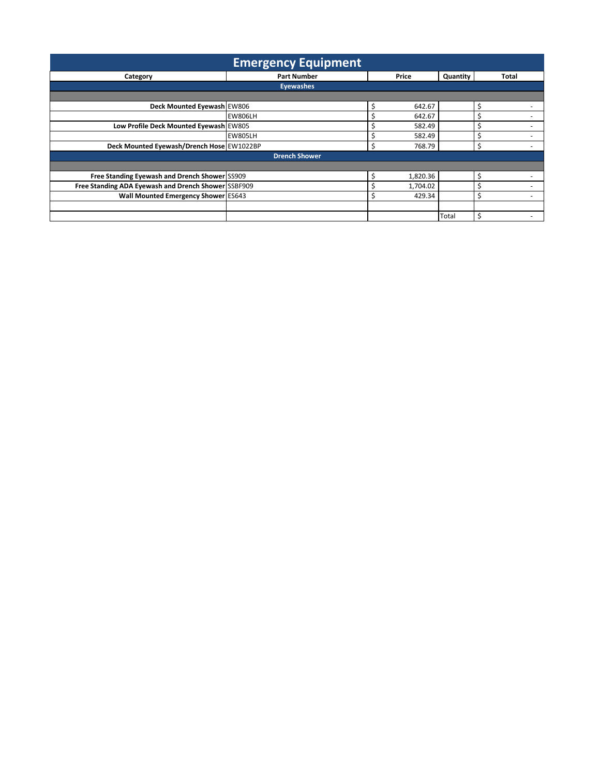|                                                     | <b>Emergency Equipment</b> |   |          |          |       |
|-----------------------------------------------------|----------------------------|---|----------|----------|-------|
| Category                                            | <b>Part Number</b>         |   | Price    | Quantity | Total |
|                                                     | <b>Evewashes</b>           |   |          |          |       |
|                                                     |                            |   |          |          |       |
| Deck Mounted Eyewash EW806                          |                            |   | 642.67   |          | Ś     |
|                                                     | <b>EW806LH</b>             |   | 642.67   |          |       |
| Low Profile Deck Mounted Eyewash EW805              |                            |   | 582.49   |          | د     |
|                                                     | <b>EW805LH</b>             |   | 582.49   |          |       |
| Deck Mounted Eyewash/Drench Hose EW1022BP           |                            | Ś | 768.79   |          | \$    |
|                                                     | <b>Drench Shower</b>       |   |          |          |       |
|                                                     |                            |   |          |          |       |
| Free Standing Eyewash and Drench Shower SS909       |                            |   | 1,820.36 |          | \$    |
| Free Standing ADA Eyewash and Drench Shower SSBF909 |                            |   | 1,704.02 |          |       |
| Wall Mounted Emergency Shower ES643                 |                            |   | 429.34   |          |       |
|                                                     |                            |   |          |          |       |
|                                                     |                            |   |          | Total    | \$    |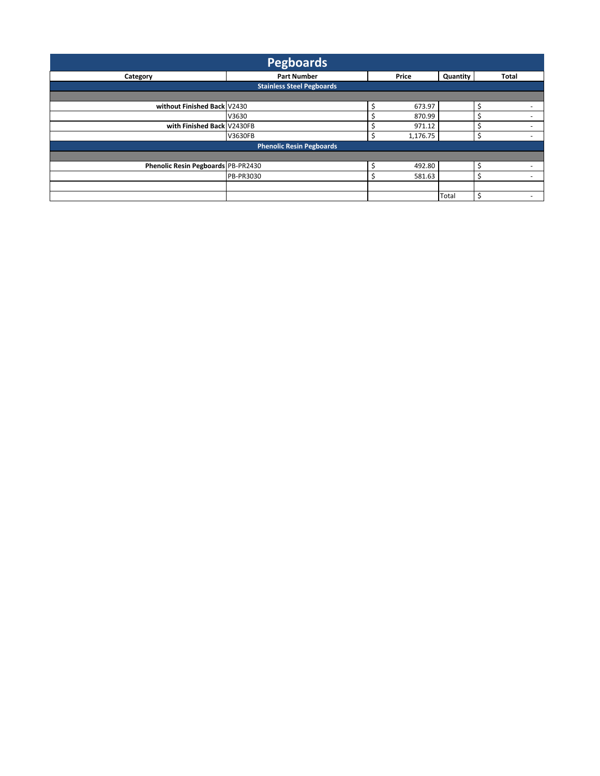| <b>Pegboards</b>                   |                                  |                            |       |                          |  |  |  |
|------------------------------------|----------------------------------|----------------------------|-------|--------------------------|--|--|--|
| Category                           | <b>Part Number</b>               | Quantity<br>Price<br>Total |       |                          |  |  |  |
|                                    | <b>Stainless Steel Pegboards</b> |                            |       |                          |  |  |  |
|                                    |                                  |                            |       |                          |  |  |  |
| without Finished Back V2430        |                                  | 673.97                     |       | \$                       |  |  |  |
|                                    | V3630                            | 870.99                     |       |                          |  |  |  |
| with Finished Back V2430FB         |                                  | 971.12                     |       |                          |  |  |  |
|                                    | V3630FB                          | 1,176.75                   |       |                          |  |  |  |
|                                    | <b>Phenolic Resin Pegboards</b>  |                            |       |                          |  |  |  |
|                                    |                                  |                            |       |                          |  |  |  |
| Phenolic Resin Pegboards PB-PR2430 |                                  | 492.80                     |       | S                        |  |  |  |
|                                    | PB-PR3030                        | 581.63                     |       | $\overline{\phantom{a}}$ |  |  |  |
|                                    |                                  |                            |       |                          |  |  |  |
|                                    |                                  |                            | Total | Ś<br>-                   |  |  |  |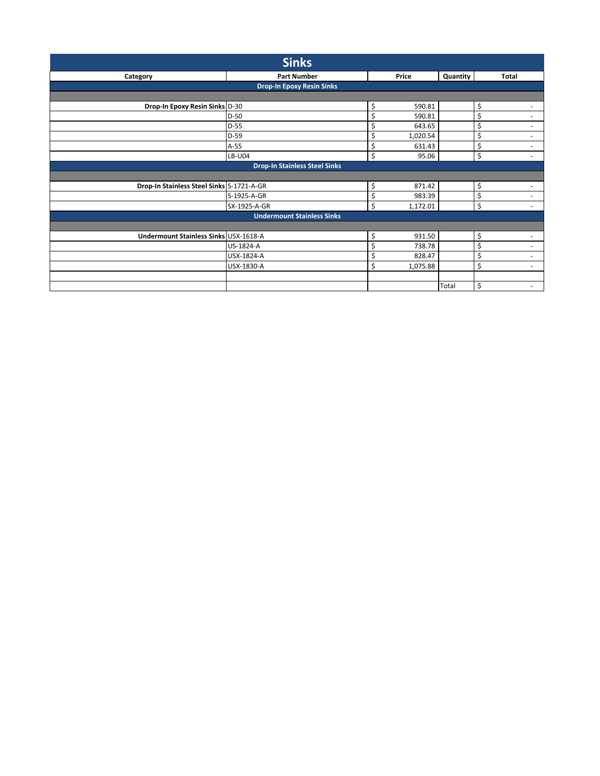| <b>Sinks</b>                              |                                      |                |          |                                |  |  |  |  |
|-------------------------------------------|--------------------------------------|----------------|----------|--------------------------------|--|--|--|--|
| Category                                  | <b>Part Number</b>                   | Price          | Quantity | Total                          |  |  |  |  |
|                                           | <b>Drop-In Epoxy Resin Sinks</b>     |                |          |                                |  |  |  |  |
|                                           |                                      |                |          |                                |  |  |  |  |
| Drop-In Epoxy Resin Sinks D-30            |                                      | \$<br>590.81   |          | \$<br>٠                        |  |  |  |  |
|                                           | $D-50$                               | \$<br>590.81   |          | \$<br>$\overline{\phantom{a}}$ |  |  |  |  |
|                                           | $D-55$                               | \$<br>643.65   |          | \$<br>$\overline{\phantom{a}}$ |  |  |  |  |
|                                           | $D-59$                               | 1,020.54<br>\$ |          | \$                             |  |  |  |  |
|                                           | $A-55$                               | \$<br>631.43   |          | \$<br>٠                        |  |  |  |  |
|                                           | LB-U04                               | \$<br>95.06    |          | \$<br>$\overline{\phantom{a}}$ |  |  |  |  |
|                                           | <b>Drop-In Stainless Steel Sinks</b> |                |          |                                |  |  |  |  |
|                                           |                                      |                |          |                                |  |  |  |  |
| Drop-In Stainless Steel Sinks S-1721-A-GR |                                      | \$<br>871.42   |          | \$<br>٠                        |  |  |  |  |
|                                           | S-1925-A-GR                          | \$<br>983.39   |          | \$                             |  |  |  |  |
|                                           | SX-1925-A-GR                         | \$<br>1,172.01 |          | \$<br>$\overline{\phantom{a}}$ |  |  |  |  |
|                                           | <b>Undermount Stainless Sinks</b>    |                |          |                                |  |  |  |  |
|                                           |                                      |                |          |                                |  |  |  |  |
| Undermount Stainless Sinks USX-1618-A     |                                      | \$<br>931.50   |          | \$<br>$\overline{\phantom{a}}$ |  |  |  |  |
|                                           | US-1824-A                            | \$<br>738.78   |          | \$<br>$\sim$                   |  |  |  |  |
|                                           | USX-1824-A                           | \$<br>828.47   |          | \$<br>$\overline{\phantom{a}}$ |  |  |  |  |
|                                           | USX-1830-A                           | \$<br>1,075.88 |          | \$<br>$\sim$                   |  |  |  |  |
|                                           |                                      |                |          |                                |  |  |  |  |
|                                           |                                      |                | Total    | \$                             |  |  |  |  |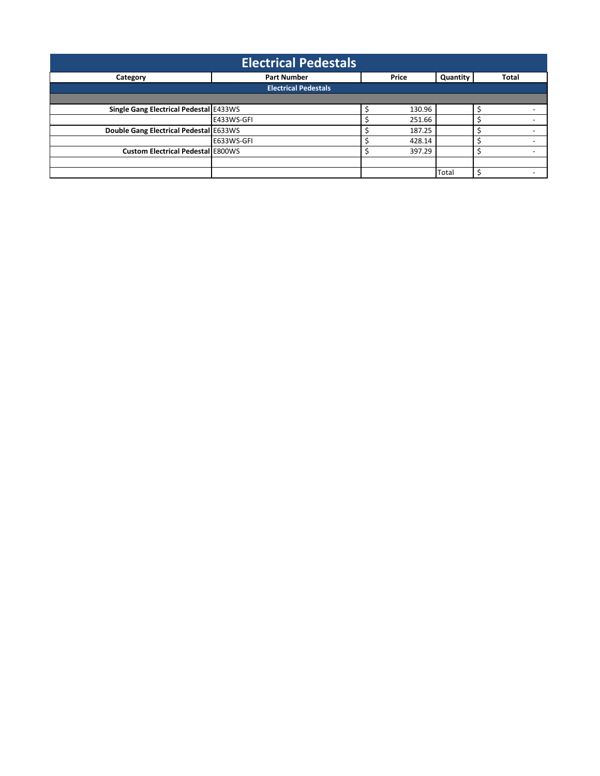| <b>Electrical Pedestals</b>              |                             |                    |                                   |        |       |  |  |  |
|------------------------------------------|-----------------------------|--------------------|-----------------------------------|--------|-------|--|--|--|
| Category                                 |                             | <b>Part Number</b> | Quantity<br>Price<br><b>Total</b> |        |       |  |  |  |
|                                          | <b>Electrical Pedestals</b> |                    |                                   |        |       |  |  |  |
|                                          |                             |                    |                                   |        |       |  |  |  |
| Single Gang Electrical Pedestal E433WS   |                             |                    |                                   | 130.96 |       |  |  |  |
|                                          | E433WS-GFI                  |                    |                                   | 251.66 |       |  |  |  |
| Double Gang Electrical Pedestal E633WS   |                             |                    |                                   | 187.25 |       |  |  |  |
|                                          | E633WS-GFI                  |                    |                                   | 428.14 |       |  |  |  |
| <b>Custom Electrical Pedestal E800WS</b> |                             |                    |                                   | 397.29 |       |  |  |  |
|                                          |                             |                    |                                   |        |       |  |  |  |
|                                          |                             |                    |                                   |        | Total |  |  |  |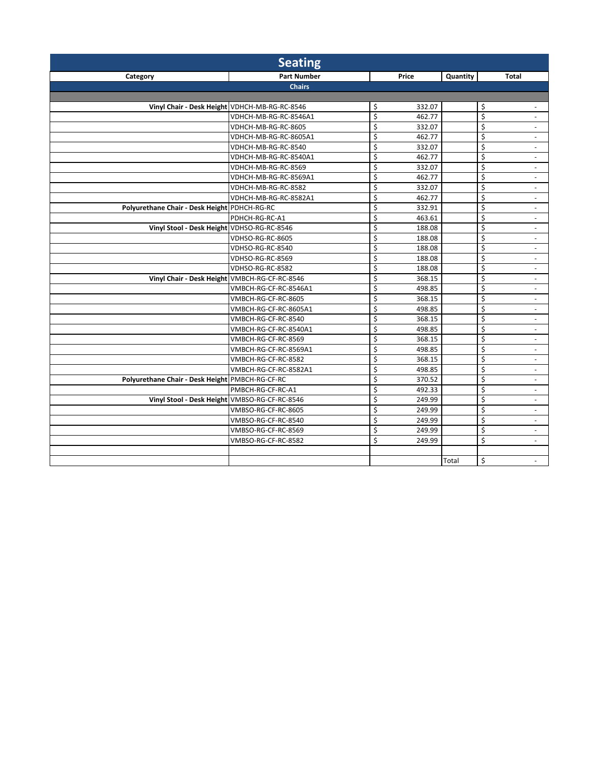|                                                 | <b>Seating</b>        |              |          |                                |
|-------------------------------------------------|-----------------------|--------------|----------|--------------------------------|
| Category                                        | <b>Part Number</b>    | Price        | Quantity | Total                          |
|                                                 | <b>Chairs</b>         |              |          |                                |
|                                                 |                       |              |          |                                |
| Vinyl Chair - Desk Height VDHCH-MB-RG-RC-8546   |                       | 332.07<br>\$ |          | \$                             |
|                                                 | VDHCH-MB-RG-RC-8546A1 | \$<br>462.77 |          | \$<br>$\sim$                   |
|                                                 | VDHCH-MB-RG-RC-8605   | \$<br>332.07 |          | Ś<br>$\overline{\phantom{a}}$  |
|                                                 | VDHCH-MB-RG-RC-8605A1 | \$<br>462.77 |          | \$<br>$\overline{\phantom{a}}$ |
|                                                 | VDHCH-MB-RG-RC-8540   | \$<br>332.07 |          | \$<br>$\omega$                 |
|                                                 | VDHCH-MB-RG-RC-8540A1 | \$<br>462.77 |          | \$<br>$\overline{\phantom{a}}$ |
|                                                 | VDHCH-MB-RG-RC-8569   | \$<br>332.07 |          | \$<br>$\blacksquare$           |
|                                                 | VDHCH-MB-RG-RC-8569A1 | \$<br>462.77 |          | Ś<br>$\omega$                  |
|                                                 | VDHCH-MB-RG-RC-8582   | \$<br>332.07 |          | \$<br>$\overline{\phantom{a}}$ |
|                                                 | VDHCH-MB-RG-RC-8582A1 | \$<br>462.77 |          | \$<br>$\overline{\phantom{a}}$ |
| Polyurethane Chair - Desk Height PDHCH-RG-RC    |                       | \$<br>332.91 |          | \$<br>$\omega$                 |
|                                                 | PDHCH-RG-RC-A1        | \$<br>463.61 |          | \$<br>$\omega$                 |
| Vinyl Stool - Desk Height VDHSO-RG-RC-8546      |                       | \$<br>188.08 |          | Ś<br>$\sim$                    |
|                                                 | VDHSO-RG-RC-8605      | \$<br>188.08 |          | \$<br>$\blacksquare$           |
|                                                 | VDHSO-RG-RC-8540      | \$<br>188.08 |          | \$<br>$\omega$                 |
|                                                 | VDHSO-RG-RC-8569      | \$<br>188.08 |          | \$<br>÷.                       |
|                                                 | VDHSO-RG-RC-8582      | \$<br>188.08 |          | \$<br>$\blacksquare$           |
| Vinyl Chair - Desk Height VMBCH-RG-CF-RC-8546   |                       | \$<br>368.15 |          | \$<br>$\sim$                   |
|                                                 | VMBCH-RG-CF-RC-8546A1 | \$<br>498.85 |          | Ś<br>$\overline{\phantom{a}}$  |
|                                                 | VMBCH-RG-CF-RC-8605   | \$<br>368.15 |          | \$<br>$\omega$                 |
|                                                 | VMBCH-RG-CF-RC-8605A1 | \$<br>498.85 |          | \$<br>$\blacksquare$           |
|                                                 | VMBCH-RG-CF-RC-8540   | \$<br>368.15 |          | \$<br>$\sim$                   |
|                                                 | VMBCH-RG-CF-RC-8540A1 | \$<br>498.85 |          | \$<br>$\sim$                   |
|                                                 | VMBCH-RG-CF-RC-8569   | \$<br>368.15 |          | \$<br>$\omega$                 |
|                                                 | VMBCH-RG-CF-RC-8569A1 | \$<br>498.85 |          | Ś<br>$\sim$                    |
|                                                 | VMBCH-RG-CF-RC-8582   | \$<br>368.15 |          | Ś<br>$\blacksquare$            |
|                                                 | VMBCH-RG-CF-RC-8582A1 | \$<br>498.85 |          | \$<br>$\overline{\phantom{a}}$ |
| Polyurethane Chair - Desk Height PMBCH-RG-CF-RC |                       | \$<br>370.52 |          | \$<br>$\sim$                   |
|                                                 | PMBCH-RG-CF-RC-A1     | \$<br>492.33 |          | Ś<br>$\sim$                    |
| Vinyl Stool - Desk Height VMBSO-RG-CF-RC-8546   |                       | \$<br>249.99 |          | \$<br>$\overline{\phantom{a}}$ |
|                                                 | VMBSO-RG-CF-RC-8605   | \$<br>249.99 |          | \$<br>$\blacksquare$           |
|                                                 | VMBSO-RG-CF-RC-8540   | \$<br>249.99 |          | \$<br>$\overline{\phantom{a}}$ |
|                                                 | VMBSO-RG-CF-RC-8569   | \$<br>249.99 |          | \$<br>$\blacksquare$           |
|                                                 | VMBSO-RG-CF-RC-8582   | Ś<br>249.99  |          | Ś<br>$\omega$                  |
|                                                 |                       |              |          |                                |
|                                                 |                       |              | Total    | \$<br>$\blacksquare$           |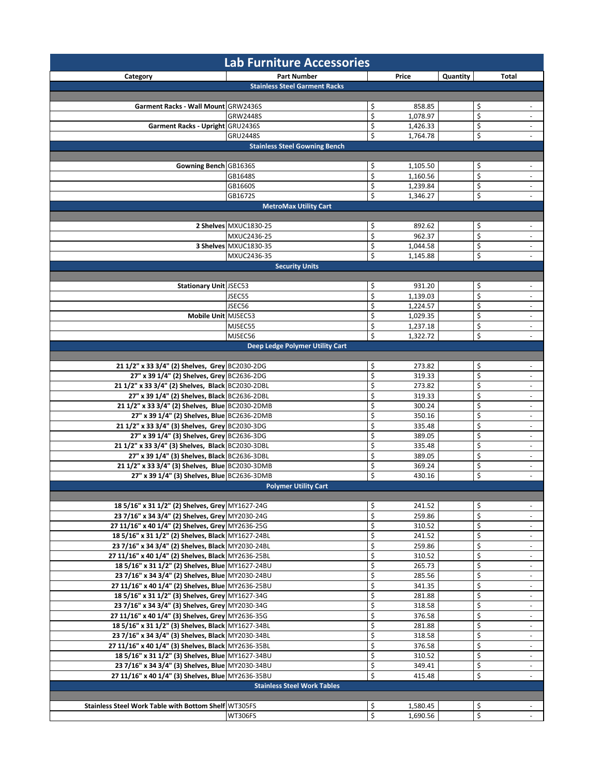|                                                      | <b>Lab Furniture Accessories</b>       |                                  |                   |                             |
|------------------------------------------------------|----------------------------------------|----------------------------------|-------------------|-----------------------------|
| Category                                             | <b>Part Number</b>                     | Price                            | Quantity<br>Total |                             |
|                                                      | <b>Stainless Steel Garment Racks</b>   |                                  |                   |                             |
|                                                      |                                        |                                  |                   |                             |
| Garment Racks - Wall Mount GRW2436S                  |                                        | \$<br>858.85                     | \$                |                             |
|                                                      | <b>GRW2448S</b>                        | \$<br>1,078.97                   | \$                | $\overline{\phantom{a}}$    |
| Garment Racks - Upright GRU2436S                     |                                        | \$<br>1,426.33                   | \$                | $\blacksquare$              |
|                                                      | <b>GRU2448S</b>                        | \$<br>1,764.78                   | \$                | $\overline{\phantom{a}}$    |
|                                                      | <b>Stainless Steel Gowning Bench</b>   |                                  |                   |                             |
|                                                      |                                        |                                  |                   |                             |
| Gowning Bench GB1636S                                |                                        | \$<br>1,105.50                   | \$                | $\sim$                      |
|                                                      | GB1648S                                | \$<br>1,160.56                   | \$                | $\overline{\phantom{a}}$    |
|                                                      | GB1660S<br>GB1672S                     | \$<br>1,239.84<br>\$<br>1,346.27 | \$<br>\$          | ÷.                          |
|                                                      | <b>MetroMax Utility Cart</b>           |                                  |                   |                             |
|                                                      |                                        |                                  |                   |                             |
|                                                      | 2 Shelves MXUC1830-25                  | \$<br>892.62                     | \$                |                             |
|                                                      | MXUC2436-25                            | \$<br>962.37                     | \$                | $\overline{\phantom{a}}$    |
|                                                      | 3 Shelves MXUC1830-35                  | \$<br>1,044.58                   | \$                | $\overline{\phantom{a}}$    |
|                                                      | MXUC2436-35                            | Ś<br>1,145.88                    | \$                |                             |
|                                                      | <b>Security Units</b>                  |                                  |                   |                             |
|                                                      |                                        |                                  |                   |                             |
| <b>Stationary Unit JSEC53</b>                        |                                        | \$<br>931.20                     | \$                |                             |
|                                                      | JSEC55                                 | \$<br>1,139.03                   | \$                | $\overline{\phantom{a}}$    |
|                                                      | JSEC56                                 | \$<br>1,224.57                   | \$                | $\overline{\phantom{a}}$    |
| Mobile Unit MJSEC53                                  |                                        | \$<br>1,029.35                   | \$                | $\overline{\phantom{a}}$    |
|                                                      | MJSEC55                                | \$<br>1,237.18                   | \$                | $\mathcal{L}_{\mathcal{A}}$ |
|                                                      | MJSEC56                                | \$<br>1,322.72                   | \$                | ä,                          |
|                                                      | <b>Deep Ledge Polymer Utility Cart</b> |                                  |                   |                             |
| 21 1/2" x 33 3/4" (2) Shelves, Grey BC2030-2DG       |                                        | \$<br>273.82                     | \$                | $\overline{\phantom{a}}$    |
| 27" x 39 1/4" (2) Shelves, Grey BC2636-2DG           |                                        | \$<br>319.33                     | \$                | $\mathcal{L}_{\mathcal{A}}$ |
| 21 1/2" x 33 3/4" (2) Shelves, Black BC2030-2DBL     |                                        | \$<br>273.82                     | \$                | $\overline{\phantom{a}}$    |
| 27" x 39 1/4" (2) Shelves, Black BC2636-2DBL         |                                        | \$<br>319.33                     | \$                | $\blacksquare$              |
| 21 1/2" x 33 3/4" (2) Shelves, Blue BC2030-2DMB      |                                        | \$<br>300.24                     | \$                | $\overline{\phantom{a}}$    |
| 27" x 39 1/4" (2) Shelves, Blue BC2636-2DMB          |                                        | \$<br>350.16                     | \$                | $\overline{\phantom{a}}$    |
| 21 1/2" x 33 3/4" (3) Shelves, Grey BC2030-3DG       |                                        | \$<br>335.48                     | \$                | $\overline{\phantom{a}}$    |
| 27" x 39 1/4" (3) Shelves, Grey BC2636-3DG           |                                        | \$<br>389.05                     | \$                | $\overline{\phantom{a}}$    |
| 21 1/2" x 33 3/4" (3) Shelves, Black BC2030-3DBL     |                                        | \$<br>335.48                     | \$                | $\overline{\phantom{a}}$    |
| 27" x 39 1/4" (3) Shelves, Black BC2636-3DBL         |                                        | \$<br>389.05                     | \$                | $\overline{\phantom{a}}$    |
| 21 1/2" x 33 3/4" (3) Shelves, Blue BC2030-3DMB      |                                        | \$<br>369.24                     | \$                | $\sim$                      |
| 27" x 39 1/4" (3) Shelves, Blue BC2636-3DMB          |                                        | \$<br>430.16                     | \$                | $\overline{\phantom{a}}$    |
|                                                      | <b>Polymer Utility Cart</b>            |                                  |                   |                             |
| 18 5/16" x 31 1/2" (2) Shelves, Grey MY1627-24G      |                                        | \$<br>241.52                     | \$                | $\overline{\phantom{a}}$    |
| 23 7/16" x 34 3/4" (2) Shelves, Grey MY2030-24G      |                                        | \$<br>259.86                     | \$                | $\overline{\phantom{a}}$    |
| 27 11/16" x 40 1/4" (2) Shelves, Grey MY2636-25G     |                                        | \$<br>310.52                     | \$                | $\sim$                      |
| 18 5/16" x 31 1/2" (2) Shelves, Black MY1627-24BL    |                                        | \$<br>241.52                     | \$                | $\sim$                      |
| 23 7/16" x 34 3/4" (2) Shelves, Black MY2030-24BL    |                                        | \$<br>259.86                     | \$                | $\overline{\phantom{a}}$    |
| 27 11/16" x 40 1/4" (2) Shelves, Black MY2636-25BL   |                                        | \$<br>310.52                     | \$                | $\blacksquare$              |
| 18 5/16" x 31 1/2" (2) Shelves, Blue MY1627-24BU     |                                        | \$<br>265.73                     | \$                | $\sim$                      |
| 23 7/16" x 34 3/4" (2) Shelves, Blue MY2030-24BU     |                                        | \$<br>285.56                     | \$                | ٠                           |
| 27 11/16" x 40 1/4" (2) Shelves, Blue MY2636-25BU    |                                        | \$<br>341.35                     | \$                | $\sim$                      |
| 18 5/16" x 31 1/2" (3) Shelves, Grey MY1627-34G      |                                        | \$<br>281.88                     | \$                | $\sim$                      |
| 23 7/16" x 34 3/4" (3) Shelves, Grey MY2030-34G      |                                        | \$<br>318.58                     | \$                | ٠                           |
| 27 11/16" x 40 1/4" (3) Shelves, Grey MY2636-35G     |                                        | \$<br>376.58                     | \$                | ۰.                          |
| 18 5/16" x 31 1/2" (3) Shelves, Black MY1627-34BL    |                                        | \$<br>281.88                     | \$                | $\blacksquare$              |
| 23 7/16" x 34 3/4" (3) Shelves, Black MY2030-34BL    |                                        | \$<br>318.58                     | \$                | $\sim$                      |
| 27 11/16" x 40 1/4" (3) Shelves, Black MY2636-35BL   |                                        | \$<br>376.58                     | \$                | $\sim$                      |
| 18 5/16" x 31 1/2" (3) Shelves, Blue MY1627-34BU     |                                        | \$<br>310.52                     | \$                |                             |
| 23 7/16" x 34 3/4" (3) Shelves, Blue MY2030-34BU     |                                        | \$<br>349.41                     | \$                | $\sim$                      |
| 27 11/16" x 40 1/4" (3) Shelves, Blue MY2636-35BU    |                                        | \$<br>415.48                     | \$                |                             |
|                                                      | <b>Stainless Steel Work Tables</b>     |                                  |                   |                             |
|                                                      |                                        |                                  |                   |                             |
| Stainless Steel Work Table with Bottom Shelf WT305FS |                                        | \$<br>1,580.45<br>\$             | \$<br>\$          |                             |
|                                                      | <b>WT306FS</b>                         | 1,690.56                         |                   |                             |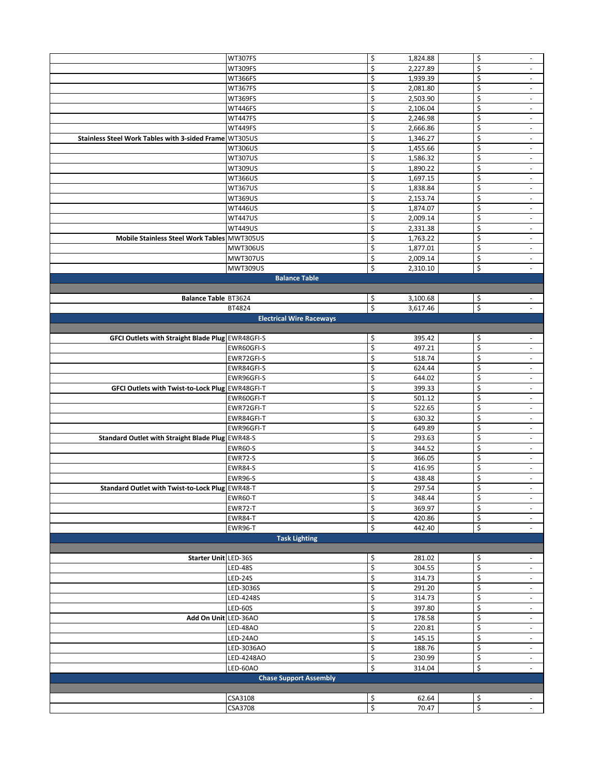|                                                        | WT307FS                         | \$                       | 1,824.88       | \$       | $\overline{\phantom{a}}$ |
|--------------------------------------------------------|---------------------------------|--------------------------|----------------|----------|--------------------------|
|                                                        | WT309FS                         | \$                       | 2,227.89       | \$       | $\sim$                   |
|                                                        | WT366FS                         | \$                       | 1,939.39       | \$       | $\overline{\phantom{a}}$ |
|                                                        | WT367FS                         | \$                       | 2,081.80       | \$       | $\overline{\phantom{a}}$ |
|                                                        | WT369FS                         | \$                       | 2,503.90       | \$       | $\overline{\phantom{a}}$ |
|                                                        | WT446FS                         | \$                       | 2,106.04       | \$       | $\overline{\phantom{a}}$ |
|                                                        | <b>WT447FS</b>                  | $\overline{\xi}$         | 2,246.98       | \$       | $\overline{\phantom{a}}$ |
|                                                        | WT449FS                         | \$                       | 2,666.86       | \$       | $\overline{\phantom{a}}$ |
| Stainless Steel Work Tables with 3-sided Frame WT305US |                                 | \$                       | 1,346.27       | \$       |                          |
|                                                        |                                 | \$                       |                | \$       | ٠                        |
|                                                        | <b>WT306US</b>                  |                          | 1,455.66       |          | $\blacksquare$           |
|                                                        | <b>WT307US</b>                  | \$                       | 1,586.32       | \$       | $\overline{\phantom{a}}$ |
|                                                        | <b>WT309US</b>                  | $\overline{\mathcal{S}}$ | 1,890.22       | \$       | $\overline{\phantom{a}}$ |
|                                                        | <b>WT366US</b>                  | \$                       | 1,697.15       | \$       | $\overline{\phantom{a}}$ |
|                                                        | <b>WT367US</b>                  | \$                       | 1,838.84       | \$       | $\overline{\phantom{a}}$ |
|                                                        | WT369US                         | \$                       | 2,153.74       | \$       | $\overline{\phantom{a}}$ |
|                                                        | <b>WT446US</b>                  | \$                       | 1,874.07       | \$       |                          |
|                                                        | <b>WT447US</b>                  | $\overline{\xi}$         | 2,009.14       | \$       | $\overline{\phantom{a}}$ |
|                                                        | <b>WT449US</b>                  | \$                       | 2,331.38       | \$       | $\overline{\phantom{a}}$ |
|                                                        |                                 |                          |                |          |                          |
| Mobile Stainless Steel Work Tables MWT305US            |                                 | \$                       | 1,763.22       | \$       | $\overline{\phantom{a}}$ |
|                                                        | <b>MWT306US</b>                 | \$                       | 1,877.01       | \$       | $\blacksquare$           |
|                                                        | MWT307US                        | \$                       | 2,009.14       | \$       | $\overline{\phantom{a}}$ |
|                                                        | MWT309US                        | \$                       | 2,310.10       | \$       | $\sim$                   |
|                                                        | <b>Balance Table</b>            |                          |                |          |                          |
|                                                        |                                 |                          |                |          |                          |
| Balance Table BT3624                                   |                                 | \$                       | 3,100.68       | \$       |                          |
|                                                        | BT4824                          | $\overline{\xi}$         | 3,617.46       | \$       |                          |
|                                                        |                                 |                          |                |          |                          |
|                                                        | <b>Electrical Wire Raceways</b> |                          |                |          |                          |
|                                                        |                                 |                          |                |          |                          |
| GFCI Outlets with Straight Blade Plug EWR48GFI-S       |                                 | \$                       | 395.42         | \$       | $\overline{\phantom{a}}$ |
|                                                        | EWR60GFI-S                      | $\overline{\mathcal{S}}$ | 497.21         | \$       | $\blacksquare$           |
|                                                        | EWR72GFI-S                      | \$                       | 518.74         | \$       | $\overline{\phantom{a}}$ |
|                                                        | EWR84GFI-S                      | \$                       | 624.44         | \$       | $\overline{\phantom{a}}$ |
|                                                        | EWR96GFI-S                      | \$                       | 644.02         | \$       | $\overline{\phantom{a}}$ |
| GFCI Outlets with Twist-to-Lock Plug EWR48GFI-T        |                                 | \$                       | 399.33         | \$       | $\overline{\phantom{a}}$ |
|                                                        | EWR60GFI-T                      | \$                       | 501.12         | \$       | $\overline{\phantom{a}}$ |
|                                                        |                                 |                          |                |          |                          |
|                                                        | EWR72GFI-T                      | $\overline{\mathsf{S}}$  | 522.65         | \$       | $\overline{\phantom{a}}$ |
|                                                        | EWR84GFI-T                      | \$                       | 630.32         | \$       | $\sim$                   |
|                                                        | EWR96GFI-T                      | \$                       | 649.89         | \$       | $\overline{\phantom{a}}$ |
| Standard Outlet with Straight Blade Plug EWR48-S       |                                 | \$                       | 293.63         | \$       | $\overline{\phantom{a}}$ |
|                                                        | <b>EWR60-S</b>                  | \$                       | 344.52         | \$       | $\blacksquare$           |
|                                                        | EWR72-S                         | \$                       | 366.05         | \$       | $\overline{\phantom{a}}$ |
|                                                        | <b>EWR84-S</b>                  | \$                       | 416.95         | \$       | $\overline{\phantom{a}}$ |
|                                                        | <b>EWR96-S</b>                  | \$                       | 438.48         | \$       | $\overline{\phantom{a}}$ |
| Standard Outlet with Twist-to-Lock Plug EWR48-T        |                                 | \$                       | 297.54         | \$       |                          |
|                                                        |                                 |                          |                |          |                          |
|                                                        | EWR60-T                         | \$                       | 348.44         | \$       | $\sim$                   |
|                                                        | EWR72-T                         | $\overline{\xi}$         | 369.97         | \$       | $\overline{\phantom{a}}$ |
|                                                        | <b>EWR84-T</b>                  | \$                       | 420.86         | \$       | $\sim$                   |
|                                                        | <b>EWR96-T</b>                  | \$                       | 442.40         | \$       | $\overline{\phantom{a}}$ |
|                                                        | <b>Task Lighting</b>            |                          |                |          |                          |
|                                                        |                                 |                          |                |          |                          |
| Starter Unit LED-36S                                   |                                 | \$                       | 281.02         | \$       | $\overline{\phantom{a}}$ |
|                                                        | <b>LED-48S</b>                  | \$                       | 304.55         | \$       | $\sim$                   |
|                                                        | <b>LED-24S</b>                  | \$                       | 314.73         | \$       | $\overline{\phantom{a}}$ |
|                                                        |                                 |                          |                |          |                          |
|                                                        | LED-3036S                       | \$                       | 291.20         | \$       | $\sim$                   |
|                                                        | LED-4248S                       | \$                       | 314.73         | \$       | $\blacksquare$           |
|                                                        | <b>LED-60S</b>                  | \$                       | 397.80         | \$       | $\overline{\phantom{a}}$ |
| Add On Unit LED-36AO                                   |                                 | \$                       | 178.58         | \$       | $\overline{\phantom{a}}$ |
|                                                        | LED-48AO                        | \$                       | 220.81         | \$       | $\overline{\phantom{a}}$ |
|                                                        | LED-24AO                        | $\overline{\xi}$         | 145.15         | \$       | $\overline{\phantom{a}}$ |
|                                                        | LED-3036AO                      | $\overline{\xi}$         | 188.76         | \$       | $\overline{\phantom{a}}$ |
|                                                        | LED-4248AO                      | \$                       | 230.99         | \$       | $\blacksquare$           |
|                                                        |                                 |                          |                | \$       |                          |
|                                                        | LED-60AO                        | \$                       | 314.04         |          | $\overline{\phantom{a}}$ |
|                                                        | <b>Chase Support Assembly</b>   |                          |                |          |                          |
|                                                        |                                 |                          |                |          |                          |
|                                                        |                                 |                          |                |          |                          |
|                                                        | CSA3108<br>CSA3708              | \$<br>$\overline{\xi}$   | 62.64<br>70.47 | \$<br>\$ | $\overline{\phantom{a}}$ |